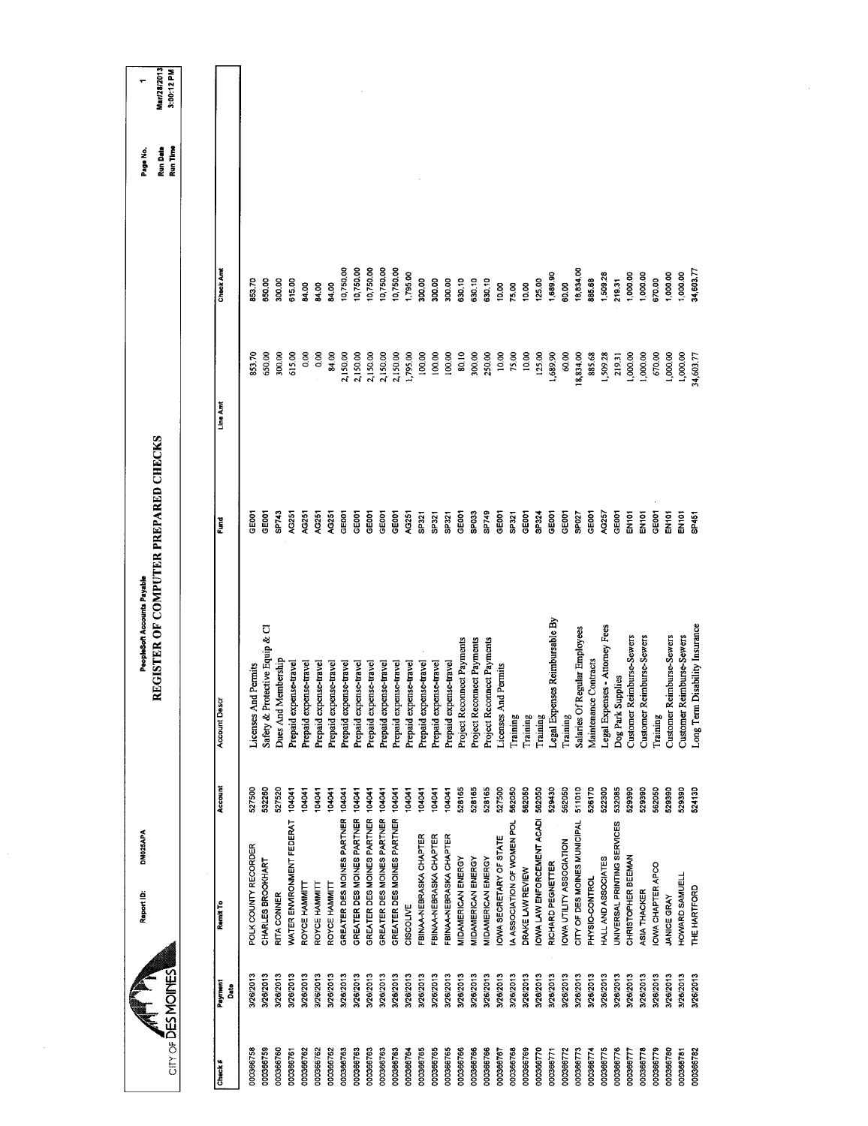| Mar/28/2013<br>3:00:12 PM                                           |                      |                      |                                |                     |                           |                        |                        |                        |                            |                            |                            |                            |                            |                        |                         |                         |                         |                            |                            |                            |                        |                             |                  |                                  |                                |                         |                                  |                       |                                |                             |                           |                           |                  |                           |                           |                                   |
|---------------------------------------------------------------------|----------------------|----------------------|--------------------------------|---------------------|---------------------------|------------------------|------------------------|------------------------|----------------------------|----------------------------|----------------------------|----------------------------|----------------------------|------------------------|-------------------------|-------------------------|-------------------------|----------------------------|----------------------------|----------------------------|------------------------|-----------------------------|------------------|----------------------------------|--------------------------------|-------------------------|----------------------------------|-----------------------|--------------------------------|-----------------------------|---------------------------|---------------------------|------------------|---------------------------|---------------------------|-----------------------------------|
| Run Time<br>Run Date<br>Page No.                                    |                      |                      |                                |                     |                           |                        |                        |                        |                            |                            |                            |                            |                            |                        |                         |                         |                         |                            |                            |                            |                        |                             |                  |                                  |                                |                         |                                  |                       |                                |                             |                           |                           |                  |                           |                           |                                   |
|                                                                     | Check Amt            | 853.70               | 650.00                         | 300.00              | 615.00                    | 84.00                  | <b>S4.00</b>           | 84.00                  | 10,750.00                  | 10,750.00                  | 10,750.00                  | 10,750.00                  | 10,750.00                  | 1,795.00               | 300.00                  | 300.00                  | 300.00                  | 630.10                     | 630,10                     | 630.10                     | 10.00                  | 75.00                       | 10.00            | 125.00                           | 1,689.90                       | 60.00                   | 18,834.00                        | 885.68                | 1,509.28                       | 219.31                      | 1,000.00                  | 1,000.00                  | 570.00           | 1,000.00                  | 000.00                    | 34,603.77                         |
|                                                                     | Line Amt             | 853.70               | 650,00                         | 300,00              | 615.00                    | 0.00                   | 0.00                   | 84.00                  | 2,150.00                   | 2,150.00                   | 2,150.00                   | 2,150.00                   | 2,150.00                   | 1,795.00               | 100.00                  | 100,00                  | 100.00                  | 80.10                      | 300.00                     | 250.00                     | 10.00                  | 75.00                       | 10.00            | 125,00                           | 1,689.90                       | 60,00                   | 18,834.00                        | 885.68                | 1,509.28                       | 219.31                      | 1,000.00                  | 1,000.00                  | 670.00           | 1,000.00                  | 1,000.00                  | 34,603.77                         |
|                                                                     | Fund                 | <b>SEOOT</b>         | GE001                          | SP743               | AG251                     | AG251                  | <b>9251</b>            | AG251                  | GEOOT                      | GE001                      | GEOOT                      | GE001                      | GE001                      | AG251                  | SP321                   | SP321                   | <b>SP321</b>            | GE001                      | SP033                      | SP749                      | GEOOT                  | SP321                       | GE001            | SP324                            | GE001                          | GEOD1                   | SP027                            | GE001                 | AG257                          | GE001                       | EN101                     | EN <sub>101</sub>         | GE001            | EN <sub>101</sub>         | EN101                     | <b>SP451</b>                      |
| REGISTER OF COMPUTER PREPARED CHECKS<br>PeopleSoft Accounts Payable | <b>Account Descr</b> | Licenses And Permits | Safety & Protective Equip & CI | Dues And Membership | Prepaid expense-travel    | Prepaid expense-travel | Prepaid expense-travel | Prepaid expense-travel | Prepaid expense-travel     | Prepaid expense-travel     | Prepaid expense-travel     | Prepaid expense-travel     | Prepaid expense-travel     | Prepaid expense-travel | Prepaid expense-travel  | Prepaid expense-travel  | Prepaid expense-travel  | Project Reconnect Payments | Project Reconnect Payments | Project Reconnect Payments | Licenses And Permits   | Training                    | Training         | Training                         | Legal Expenses Reimbursable By | Training                | Regular Employees<br>Salaries Of | Maintenance Contracts | Legal Expenses - Attorney Fees | Dog Park Supplies           | Customer Reimburse-Sewers | Customer Reimburse-Sewers | Training         | Customer Reimburse-Sewers | Customer Reimburse-Sewers | Disability Insurance<br>Long Term |
|                                                                     | Account              | 527500               | 532260                         | 527520              | 104041                    | 104041                 | 104041                 | 104041                 | 104041                     | 104041                     | 104041                     | 104041                     | 104041                     | 104041                 | 104041                  | 104041                  | 104041                  | 528165                     | 528165                     | 528165                     | 527500                 | 562050                      | 562050           | 562050                           | 529430                         | 562050                  | 511010                           | 526170                | 522300                         | 532085                      | 529390                    | 529390                    | 562050           | 529390                    | 529390                    | 524130                            |
| DM025APA<br>Report ID:                                              | Remit To             | POLK COUNTY RECORDER | CHARLES BROOKHART              | RITA CONNER         | WATER ENVIRONMENT FEDERAT | ROYCE HAMMITT          | ROYCE HAMMITT          | ROYCE HAMMITT          | GREATER DES MOINES PARTNER | GREATER DES MOINES PARTNER | GREATER DES MOINES PARTNER | GREATER DES MOINES PARTNER | GREATER DES MOINES PARTNER | CISCOLIVE              | FBINAA-NEBRASKA CHAPTER | FBINAA-NEBRASKA CHAPTER | FBINAA-NEBRASKA CHAPTER | MIDAMERICAN ENERGY         | MIDAMERICAN ENERGY         | MIDAMERICAN ENERGY         | OWA SECRETARY OF STATE | IA ASSOCIATION OF WOMEN POL | DRAKE LAW REVIEW | <b>OWA LAW ENFORCEMENT ACADI</b> | RICHARD PEGNETTER              | OWA UTILITY ASSOCIATION | CITY OF DES MOINES MUNICIPAL     | PHYSIO-CONTROL        | HALL AND ASSOCIATES            | JNIVERSAL PRINTING SERVICES | CHRISTOPHER BEEMAN        | ASIA THACKER              | OWA CHAPTER APCO | <b>JANICE GRAY</b>        | HOWARD SAMUELL            | THE HARTFORD                      |
|                                                                     | Payment<br>Date      | 3/26/2013            | 3/26/2013                      | 3/26/2013           | 3/26/2013                 | 3/26/2013              | 3/26/2013              | 3/26/2013              | 3/26/2013                  | 3/26/2013                  | 3/26/2013                  | 3/26/2013                  | 3/26/2013                  | 3/26/2013              | 3/26/2013               | 3/26/2013               | 3/26/2013               | 3/26/2013                  | 3/26/2013                  | 3/26/2013                  | 3/26/2013              | 3/26/2013                   | 3/26/2013        | 3/28/2013                        | 3/26/2013                      | 3/26/2013               | 3/26/2013                        | 3/26/2013             | 3/26/2013                      | 3/26/2013                   | 3/26/2013                 | 3/26/2013                 | V26/2013         | 3/26/2013                 | 3/26/2013                 | 3/26/2013                         |
| <b>ANDINES</b>                                                      | Check#               | 000366758            | 000366759                      | 000366760           | 000366761                 | 000366762              | 000366762              | 000366762              | 000366763                  | 000366763                  | 000366763                  | 000366763                  | 000366763                  | 000366764              | 000366765               | 000366765               | 000366765               | 000366766                  | 000366766                  | 000366766                  | 000366767              | 000366768                   | 000366769        | 000366770                        | 000366771                      | 000366772               | 000366773                        | 000366774             | 000366775                      | 000366776                   | 000366777                 | 000366778                 | 000366779        | 000366780                 | 000366781                 | 000366782                         |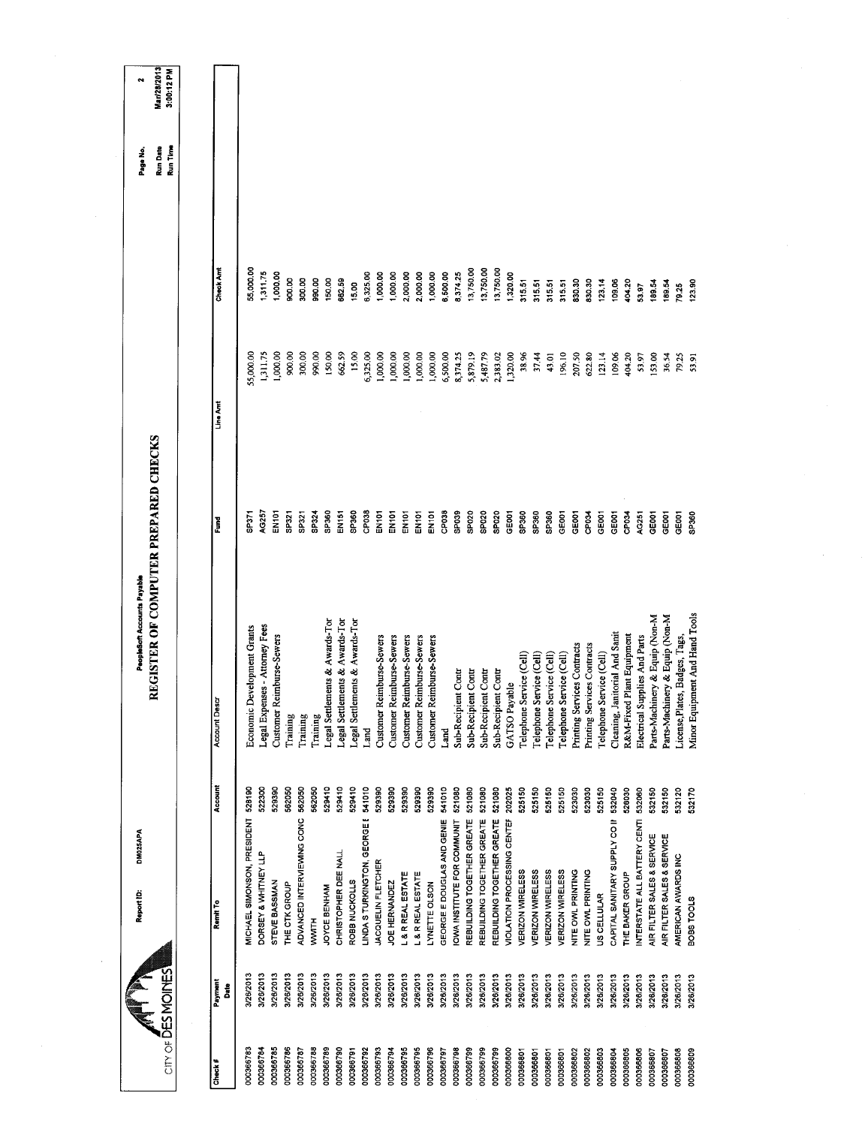|                        | City of DES MOINES     | DM025APA<br>Report ID:                      |                  | REGISTER OF COMPUTER PREPARED CHECKS<br>PeopleSoft Accounts Payable |                   |                      |                      | Run Time<br><b>Run Date</b><br>Page No | Mari28/2013<br>3:00:12 PM<br>$\overline{\phantom{a}}$ |
|------------------------|------------------------|---------------------------------------------|------------------|---------------------------------------------------------------------|-------------------|----------------------|----------------------|----------------------------------------|-------------------------------------------------------|
|                        |                        |                                             |                  |                                                                     |                   |                      |                      |                                        |                                                       |
| Check#                 | Payment<br>å           | Remit To                                    | Account          | Account Desc                                                        | Fund              | Line Amt             | Check Amt            |                                        |                                                       |
| 000366783              | 3/26/2013              | MICHAEL SIMONSON, PRESIDENT 528190          |                  | Economic Development Grants                                         | 5P371             | 55,000.00            | 55,000.00            |                                        |                                                       |
| 000366784              | 3/26/2013              | DORSEY & WHITNEY LLP                        | 522300           | Legal Expenses - Attorney Fees                                      | 40257             | 1,311.75             | 1,311,75             |                                        |                                                       |
| 000366785              | 3/26/2013              | STEVE BASSMAN                               | 529390           | Customer Reimburse-Sewers                                           | <b>PONE</b>       | 1,000,00             | 1,000.00             |                                        |                                                       |
| 000366786<br>000366787 | 3/26/2013<br>3/26/2013 | ADVANCED INTERVIEWING CONC<br>THE CTK GROUP | 562050<br>562050 | Training                                                            | SP321<br>SP321    | 900.00               | 900.00               |                                        |                                                       |
| 000366788              | 3/26/2013              | <b>NAMA</b>                                 | 562050           | Training<br>Training                                                | SP324             | 300.00<br>990.00     | 300.00<br>990.00     |                                        |                                                       |
| 000366789              | 3/26/2013              | JOYCE BENHAM                                | 529410           | Legal Settlements & Awards-Tor                                      | SP360             | 150.00               | 150,00               |                                        |                                                       |
| 000366790              | 3/26/2013              | CHRISTOPHER DEE NALL                        | 529410           | Legal Settlements & Awards-Tor                                      | EN <sub>151</sub> | 662.59               | 662.59               |                                        |                                                       |
| 000366791              | 3/26/2013              | ROBB NUCKOLLS                               | 529410           | Legal Settlements & Awards-Tor                                      | SP360             | 15.00                | 15.00                |                                        |                                                       |
| 000366792              | 3/26/2013              | LINDA S TURKINGTON, GEORGE E                | 541010           | Land                                                                | CP038             | 6,325.00             | 6,325.00             |                                        |                                                       |
| 000366793              | 3/26/2013              | <b>JACQUELIN FLETCHER</b>                   | 529390           | Customer Reimburse-Sewers                                           | ENIOT             | 1,000.00             | 1,000.00             |                                        |                                                       |
| 000366794              | 3/26/2013              | JOE HERNANDEZ                               | 529390           | Customer Reimburse-Sewers                                           | EN101             | 1,000.00             | 1,000.00             |                                        |                                                       |
| 000366795              | 3/26/2013              | L & R REAL ESTATE                           | 529390           | Customer Reimburse-Sewers                                           | EN101             | 1,000.00             | 2,000.00             |                                        |                                                       |
| 000366795<br>000366796 | 3/26/2013<br>3/26/2013 | L& R REAL ESTATE<br>LYNETTE OLSON           | 529390<br>528390 | Customer Reimburse-Sewers<br>Customer Reimburse-Sewers              | EN101<br>EN101    | 1,000.00<br>1,000.00 | 2,000.00<br>1,000.00 |                                        |                                                       |
| 000366797              | 3/26/2013              | GEORGE E DOUGLAS AND GENIE                  | 541010           | Land                                                                | CP <sub>038</sub> | 6,500.00             | 6,500.00             |                                        |                                                       |
| 000366798              | 3/26/2013              | <b>IOWA INSTITUTE FOR COMMUNIT</b>          | 521080           | Sub-Recipient Contr                                                 | SPO39             | 8,374.25             | 8,374.25             |                                        |                                                       |
| 000366799              | 3/26/2013              | REBUILDING TOGETHER GREATE                  | 521080           | Sub-Recipient Contr                                                 | SPO <sub>20</sub> | 5,879.19             | 13,750.00            |                                        |                                                       |
| 000366799              | 3/26/2013              | REBUILDING TOGETHER GREATE                  | 521080           | Sub-Recipient Contr                                                 | SPO <sub>20</sub> | 5,487.79             | 13,750.00            |                                        |                                                       |
| 000366799              | 3/26/2013              | REBUILDING TOGETHER GREATE                  | 521080           | Sub-Recipient Contr                                                 | SPO <sub>20</sub> | 2,383.02             | 13,750.00            |                                        |                                                       |
| 000366800              | 3/26/2013              | VIOLATION PROCESSING CENTER                 | 202025           | GATSO Payable                                                       | GEOCT             | 1,320.00             | 1,320.00             |                                        |                                                       |
| 000366801              | 3/26/2013              | VERIZON WIRELESS                            | 525150           | Telephone Service (Cell)                                            | SP360             | 38.96                | 315.51               |                                        |                                                       |
| 000366801              | 3/26/2013              | VERIZON WIRELESS                            | 525150           | Telephone Service (Cell)                                            | SP360             | 37.44                | 315.51               |                                        |                                                       |
| 000366801<br>00366801  | 3/26/2013<br>3/26/2013 | VERIZON WRELESS<br>VERIZON WIRELESS         | 525150<br>525150 | Telephone Service (Cell)                                            | SP360<br>GEOOT    | 43.01                | 315.51               |                                        |                                                       |
| 000366802              | 3/26/2013              | NITE OWL PRINTING                           | 523030           | Telephone Service (Cell)                                            | GE001             | 196.10               | 315.51               |                                        |                                                       |
| 000366802              | 3/26/2013              | NITE OWL PRINTING                           | 523030           | Printing Services Contracts<br>Printing Services Contracts          | CP <sub>034</sub> | 207.50<br>622.80     | 830.30<br>830.30     |                                        |                                                       |
| 000366803              | 3/26/2013              | US CELLULAR                                 | 525150           | Telephone Service (Cell)                                            | GE001             | 123.14               | 123.14               |                                        |                                                       |
| 000366804              | 3/26/2013              | CAPITAL SANITARY SUPPLY CO II               | 532040           | Cleaning, Janitorial And Sanit                                      | GEDOT             | 109.06               | 109.06               |                                        |                                                       |
| 000366805              | 3/26/2013              | THE BAKER GROUP                             | 528030           | R&M-Fixed Plant Equipment                                           | CP034             | 404.20               | 404.20               |                                        |                                                       |
| 000366806              | 3/26/2013              | INTERSTATE ALL BATTERY CENTI                | 532060           | Electrical Supplies And Parts                                       | AG251             | 53.97                | 53.97                |                                        |                                                       |
| 000366807              | 3/28/2013              | AIR FILTER SALES & SERVICE                  | 532150           | Parts-Machinery & Equip (Non-M                                      | GE001             | 153.00               | 18954                |                                        |                                                       |
| 000366807              | 3/26/2013              | AIR FILTER SALES & SERVICE                  | 532150           | Parts-Machinery & Equip (Non-M                                      | GE001             | 36.54                | 189.54               |                                        |                                                       |
| 000366808              | 3/26/2013              | AMERICAN AWARDS INC                         | 532120<br>532170 | License, Plates, Badges, Tags,                                      | GEOD1             | 79.25                | 79.25                |                                        |                                                       |
| 000366809              | 3/26/2013              | BOBS TOOLS                                  |                  | Minor Equipment And Hand Tools                                      | SP360             | 53.91                | 123.90               |                                        |                                                       |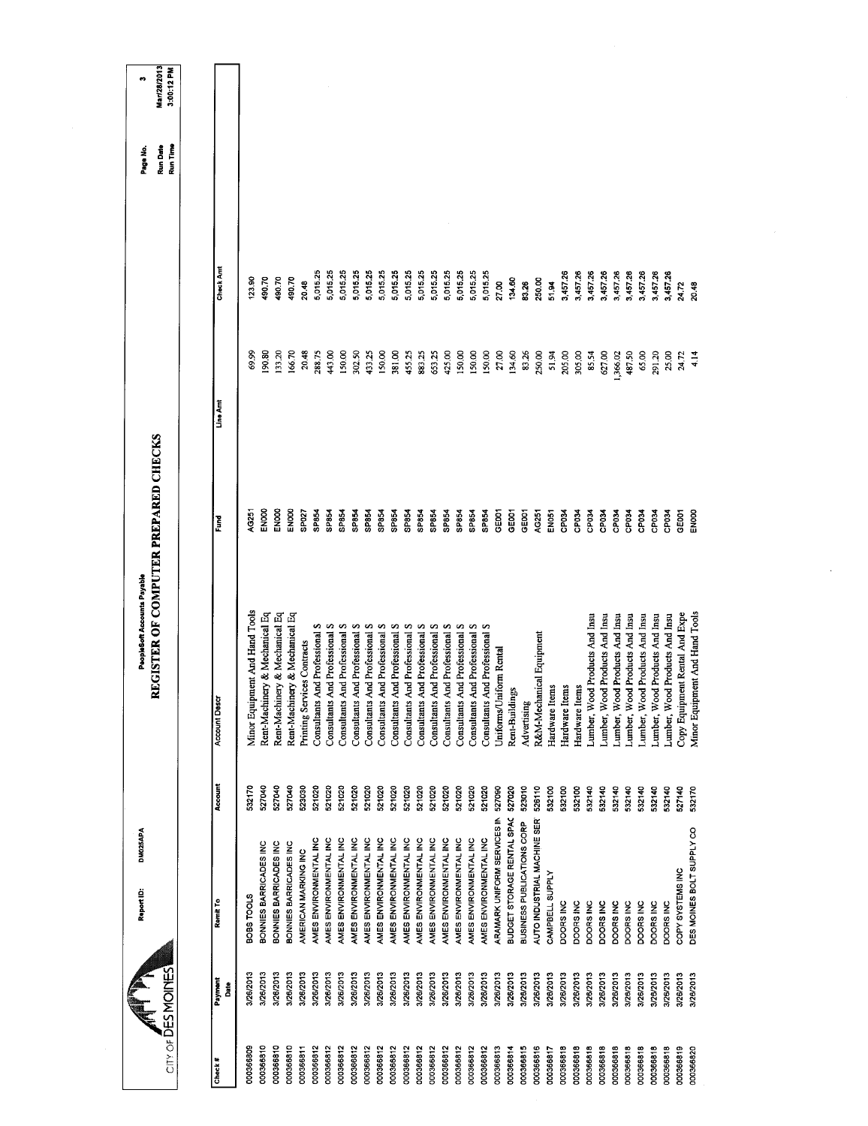| City of DES MOINES |                 | DM025APA<br>Report ID:      |         | REGISTER OF COMPUTER PREPARED CHECKS<br>PeopleSoft Accounts Payable |                   |          |           | Run Date<br>Run Time<br>Page No. | Mar/28/2013<br>3:00:12 PM<br>÷ |
|--------------------|-----------------|-----------------------------|---------|---------------------------------------------------------------------|-------------------|----------|-----------|----------------------------------|--------------------------------|
|                    |                 |                             |         |                                                                     |                   |          |           |                                  |                                |
| Check #            | Payment<br>Date | Remit To                    | Account | <b>Account Descr</b>                                                | Fund              | Line Amt | Check Amt |                                  |                                |
| 000366809          | 3/26/2013       | BOBS TOOLS                  | 532170  | Minor Equipment And Hand Tools                                      | AG251             | 69.99    | 123.90    |                                  |                                |
| 000366810          | 3/26/2013       | BONNIES BARRICADES INC      | 527040  | Rent-Machinery & Mechanical Eq                                      | EN00              | 08.06    | 490.70    |                                  |                                |
| 000366810          | 3/26/2013       | BONNIES BARRICADES INC      | 527040  | Rent-Machinery & Mechanical Eq                                      | EN000             | 133.20   | 490.70    |                                  |                                |
| 000366810          | 3/26/2013       | BONNIES BARRICADES INC      | 527040  | Rent-Machinery & Mechanical Eq                                      | ENOO              | 166.70   | 490.70    |                                  |                                |
| 000366811          | 3/26/2013       | AMERICAN MARKING INC        | 523030  | Printing Services Contracts                                         | SP027             | 20.48    | 20.48     |                                  |                                |
| 000366812          | 3/26/2013       | AMES ENVIRONMENTAL INC      | 521020  | Consultants And Professional S                                      | SP854             | 288.75   | 5,015.25  |                                  |                                |
| 000366812          | 3/26/2013       | AMES ENVIRONMENTAL INC      | 521020  | And Professional S<br>Consultants                                   | SP854             | 443.00   | 5,015.25  |                                  |                                |
| 000366812          | 3/26/2013       | AMES ENVIRONMENTAL INC      | 521020  | And Professional S<br>Consultants                                   | SP854             | 150,00   | 5,015.25  |                                  |                                |
| 000366812          | 3/26/2013       | AMES ENVIRONMENTAL INC      | 521020  | And Professional S<br>Consultants                                   | SP854             | 302.50   | 5,015.25  |                                  |                                |
| 000366812          | 3/26/2013       | AMES ENVIRONMENTAL INC      | 521020  | And Professional S<br>Consultants                                   | SP854             | 433.25   | 5,015.25  |                                  |                                |
| 000366812          | 3/26/2013       | AMES ENVIRONMENTAL INC      | 521020  | And Professional S<br>Consultants                                   | SP854             | 150.00   | 5,015.25  |                                  |                                |
| 000366812          | 3/26/2013       | AMES ENVIRONMENTAL INC      | 521020  | And Professional S<br>Consultants                                   | SP854             | 381.00   | 5,015.25  |                                  |                                |
| 000366812          | 3/26/2013       | AMES ENVIRONMENTAL INC      | 521020  | And Professional S<br>Consultants                                   | SP854             | 455.25   | 5,015.25  |                                  |                                |
| 000366812          | 3/26/2013       | AMES ENVIRONMENTAL INC      | 521020  | And Professional S<br>Consultants                                   | SP854             | 883,25   | 5,015.25  |                                  |                                |
| 000366812          | 3/26/2013       | AMES ENVIRONMENTAL INC      | 521020  | And Professional S<br>Consultants                                   | SP854             | 653.25   | 5,015.25  |                                  |                                |
| 000366812          | 3/26/2013       | AMES ENVIRONMENTAL INC      | 521020  | And Professional S<br>Consultants                                   | SP854             | 425.00   | 5,015.25  |                                  |                                |
| 000366812          | 3/26/2013       | AMES ENVIRONMENTAL INC      | 521020  | Consultants And Professional S                                      | SP854             | 150,00   | 5,015.25  |                                  |                                |
| 000366812          | 3/26/2013       | AMES ENVIRONMENTAL INC      | 521020  | Consultants And Professional S                                      | SP854             | 150.00   | 5,015.25  |                                  |                                |
| 000366812          | 3/26/2013       | AMES ENVIRONMENTAL INC      | 521020  | Consultants And Professional S                                      | SP854             | 150.00   | 5,01525   |                                  |                                |
| 000366813          | 3/26/2013       | ARAMARK UNIFORM SERVICES IN | 527090  | Uniforms/Uniform Rental                                             | GE001             | 27.00    | 27.00     |                                  |                                |
| 000366814          | 3/26/2013       | BUDGET STORAGE RENTAL SPAC  | 527020  | Rent-Buildings                                                      | GE001             | 134,60   | 134.60    |                                  |                                |
| 000366815          | 3/28/2013       | BUSINESS PUBLICATIONS CORP  | 523010  | Advertising                                                         | GE <sub>001</sub> | 83.26    | 83.26     |                                  |                                |
| 000366816          | 3/26/2013       | AUTO INDUSTRIAL MACHINE SER | 526110  | R&M-Mechanical Equipment                                            | AG251             | 250.00   | 250.00    |                                  |                                |
| 000366817          | 3/26/2013       | CAMPBELL SUPPLY             | 532100  | Hardware Items                                                      | <b>EN051</b>      | 51.94    | 51.94     |                                  |                                |
| 000366818          | 3/26/2013       | DOORS INC                   | 532100  | Hardware Items                                                      | CP034             | 205,00   | 3,457.26  |                                  |                                |
| 000366818          | 3/26/2013       | DOORS INC                   | 532100  | Hardware Items                                                      | CP034             | 305,00   | 3,457.26  |                                  |                                |
| 000366818          | 3/26/2013       | DOORS INC                   | 532140  | Lumber, Wood Products And Insu                                      | CP <sub>034</sub> | 85.54    | 3,457.26  |                                  |                                |
| 000366818          | 3/26/2013       | DOORS INC                   | 532140  | Lumber, Wood Products And Insu                                      | CP034             | 627.00   | 3,457.26  |                                  |                                |
| 000366818          | 3/26/2013       | DOORS INC                   | 532140  | Lumber, Wood Products And Insu                                      | CP034             | 1,366.02 | 3,457.26  |                                  |                                |
| 000366818          | 3/20/2013       | DOORS INC                   | 532140  | Lumber, Wood Products And Insu                                      | CP034             | 487.50   | 3,457.26  |                                  |                                |
| 000366818          | 3/26/2013       | DOORS INC                   | 532140  | Lumber, Wood Products And Insu                                      | CP034             | 65.00    | 3,457.26  |                                  |                                |
| 000366818          | 3/28/2013       | DOORS INC                   | 532140  | Lumber, Wood Products And Insu                                      | CP034             | 291.20   | 3,457.26  |                                  |                                |
| 000366818          | 3/26/2013       | DOORS INC                   | 532140  | Lumber, Wood Products And Insu                                      | CP <sub>034</sub> | 25.00    | 3,457.26  |                                  |                                |
| 000366819          | 3/26/2013       | COPY SYSTEMS INC            | 527140  | Copy Equipment Rental And Expe                                      | <b>GEOCT</b>      | 24.72    | 24.72     |                                  |                                |
| 000366820          | 3/26/2013       | DES MOINES BOLT SUPPLY CO   | 532170  | Minor Equipment And Hand Tools                                      | EN <sub>00</sub>  | 4.14     | 20.48     |                                  |                                |
|                    |                 |                             |         |                                                                     |                   |          |           |                                  |                                |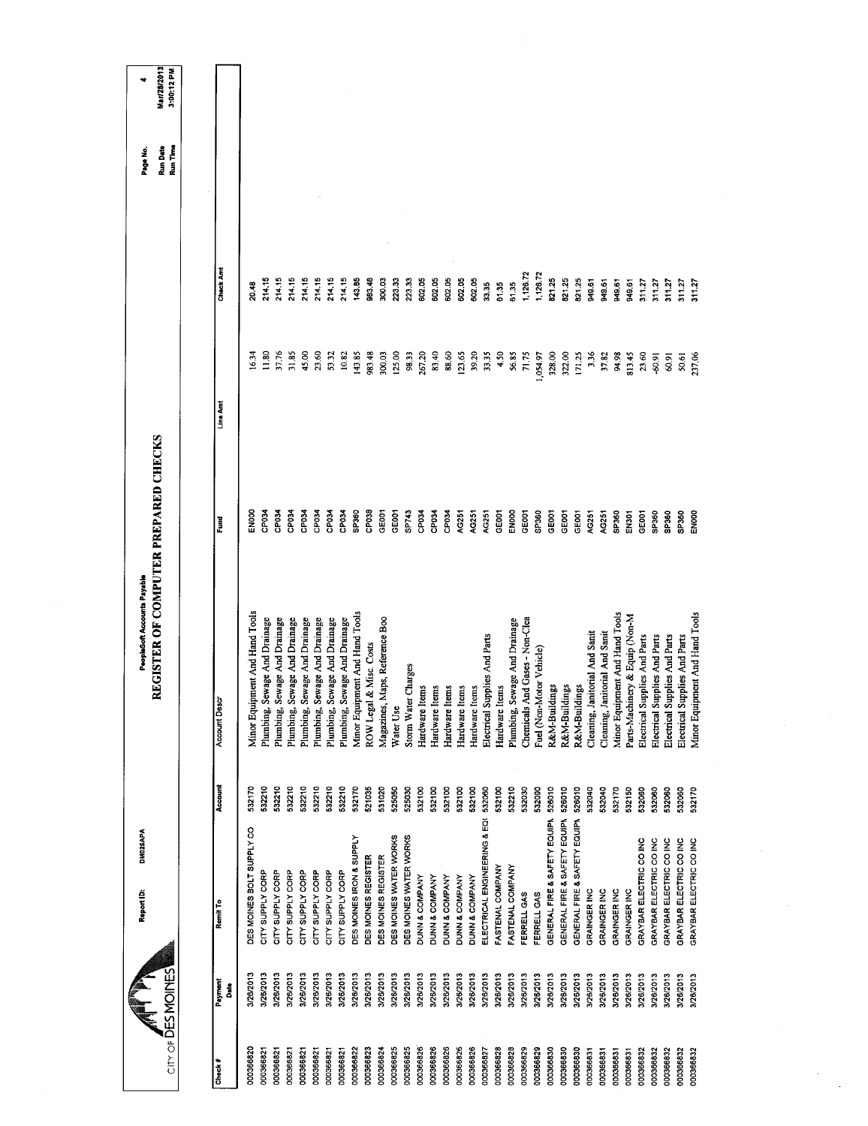| Mar/28/2013<br>3:00:12 PM                                           |               |                                |                                  |                                  |                                  |                                  |                                  |                                  |                                    |                                |                         |                                |                        |                        |                   |                   |                |                |                |                               |                         |                               |                                |                          |                              |                                     |                              |                                |                                |                                |                                |                               |                               |                               |                               |                                |
|---------------------------------------------------------------------|---------------|--------------------------------|----------------------------------|----------------------------------|----------------------------------|----------------------------------|----------------------------------|----------------------------------|------------------------------------|--------------------------------|-------------------------|--------------------------------|------------------------|------------------------|-------------------|-------------------|----------------|----------------|----------------|-------------------------------|-------------------------|-------------------------------|--------------------------------|--------------------------|------------------------------|-------------------------------------|------------------------------|--------------------------------|--------------------------------|--------------------------------|--------------------------------|-------------------------------|-------------------------------|-------------------------------|-------------------------------|--------------------------------|
| Run Date<br>Run Time<br>Page No.                                    |               |                                |                                  |                                  |                                  |                                  |                                  |                                  |                                    |                                |                         |                                |                        |                        |                   |                   |                |                |                |                               |                         |                               |                                |                          |                              |                                     |                              |                                |                                |                                |                                |                               |                               |                               |                               |                                |
|                                                                     | Check Amt     | 20.48                          | 214.15                           | 214.15                           | 214.15                           | 214.15                           | 214.15                           | 214.15                           | 214.15                             | 143.85                         | 983.48                  | 300.03                         | 223.33                 | 223,33                 | 602.05            | 602.05            | 602.05         | 602.05         | 602.05         | 33.35                         | 61.35                   | 6135                          | 1,126.72                       | 1,126.72                 | 821.25                       | 82125                               | 821.25                       | 949.61                         | 949.61                         | 949.61                         | 949.61                         | 311.27                        | 31127                         | 311.27                        | 311.27                        | 311.27                         |
|                                                                     | Line Amt      | 16.34                          | 1.80                             | 37,76                            | 31.85                            | 45.00                            | 23.60                            | 53.32                            | 10.82                              | 143.85                         | 983.48                  | 300.03                         | 125.00                 | 98.33                  | 267.20            | 83.40             | 88.60          | 123.65         | 39.20          | 33.35                         | 4.50                    | 56.85                         | 71,75                          | 1,054.97                 | 328.00                       | 322.00                              | 171.25                       | 3.36                           | 37.82                          | 94.98                          | 813.45                         | 23.60                         | $-60.91$                      | 60.91                         | 50,61                         | 237.06                         |
|                                                                     | Fund          | EN00                           | <b>ROGC</b>                      | <b>DP034</b>                     | CP <sub>034</sub>                | CP <sub>034</sub>                | CP034                            | CP <sub>034</sub>                | CP <sub>034</sub>                  | SP <sub>360</sub>              | CP <sub>038</sub>       | GE001                          | GE001                  | SP743                  | CP <sub>034</sub> | CP <sub>D34</sub> | CP034          | AG251          | AG251          | AG251                         | GE001                   | ENOOO                         | GE001                          | SP360                    | GE001                        | GEOO1                               | GE001                        | AG251                          | AG251                          | SP360                          | EN301                          | GE <sub>001</sub>             | SP360                         | SP360                         | SP360                         | ENOOO                          |
| REGISTER OF COMPUTER PREPARED CHECKS<br>PeopleSoft Accounts Payable | Account Descr | Minor Equipment And Hand Tools | Sewage And Drainage<br>Plumbing, | Sewage And Drainage<br>Plumbing, | Sewage And Drainage<br>Plumbing, | Sewage And Drainage<br>Plumbing, | Sewage And Drainage<br>Plumbing, | Sewage And Drainage<br>Plumbing, | Sewage And Drainage<br>Plumbing, S | Minor Equipment And Hand Tools | ROW Legal & Misc. Costs | Magazines, Maps, Reference Boo | Water Use              | Storm Water Charges    | Hardware Items    | Hardware Items    | Hardware Items | Hardware Items | Hardware Items | Electrical Supplies And Parts | Hardware Items          | Plumbing, Sewage And Drainage | Chemicals And Gases - Non-Clea | Fuel (Non-Motor Vehicle) | R&M-Buildings                | R&M-Buildings                       | R&M-Buildings                | Cleaning, Janitorial And Sanit | Cleaning, Janitorial And Sanit | Minor Equipment And Hand Tools | Parts-Machinery & Equip (Non-M | Electrical Supplies And Parts | Electrical Supplies And Parts | Electrical Supplies And Parts | Electrical Supplies And Parts | Minor Equipment And Hand Tools |
|                                                                     | Account       | 532170                         | 532210                           | 532210                           | 532210                           | 532210                           | 532210                           | 532210                           | 532210                             | 532170                         | 521035                  | 531020                         | 525050                 | 525030                 | 532100            | 532100            | 532100         | 532100         | 532100         | 532060                        | 532100                  | 532210                        | 532030                         | 532090                   | 528010                       |                                     | 526010                       | 532040                         | 532040                         | 532170                         | 532150                         | 532060                        | 532060                        | 532060                        | 532060                        | 532170                         |
| DM025APA<br>Report ID:                                              | Remit To      | DES MOINES BOLT SUPPLY CO      | CITY SUPPLY CORP                 | CITY SUPPLY CORP                 | CITY SUPPLY CORP                 | CITY SUPPLY CORP                 | CITY SUPPLY CORP                 | CITY SUPPLY CORP                 | CITY SUPPLY CORP                   | DES MOINES IRON & SUPPLY       | DES MOINES REGISTER     | DES MOINES REGISTER            | DES MOINES WATER WORKS | DES MOINES WATER WORKS | DUNN & COMPANY    | DUNN & COMPANY    | DUNN & COMPANY | DUNN & COMPANY | DUNN & COMPANY | ELECTRICAL ENGINEERING & EQI  | <b>FASTENAL COMPANY</b> | FASTENAL COMPANY              | FERRELL GAS                    | FERRELL GAS              | GENERAL FIRE & SAFETY EQUIPN | GENERAL FIRE & SAFETY EQUIPN 526010 | GENERAL FIRE & SAFETY EQUIPN | <b>GRAINGER INC</b>            | GRAINGER INC                   | GRAINGER INC                   | GRAINGER INC                   | GRAYBAR ELECTRIC CO INC       | GRAYBAR ELECTRIC CO INC       | GRAYBAR ELECTRIC CO INC       | GRAYBAR ELECTRIC CO INC       | GRAYBAR ELECTRIC CO INC        |
|                                                                     | Payment<br>នី | 3/26/2013                      | 3/26/2013                        | 3/26/2013                        | 3/26/2013                        | 3/26/2013                        | 3/26/2013                        | 3/26/2013                        | 3/26/2013                          | 3/26/2013                      | 3/26/2013               | 3/26/2013                      | 3/26/2013              | 3/26/2013              | 3/26/2013         | 3/26/2013         | 3/26/2013      | 3/26/2013      | 3/26/2013      | 3/26/2013                     | 3/26/2013               | 3/26/2013                     | 3/20/2013                      | 3/26/2013                | 3/26/2013                    | 3/26/2013                           | 3/26/2013                    | 3/26/2013                      | 3/26/2013                      | 3/26/2013                      | 3/26/2013                      | 3/26/2013                     | 3/26/2013                     | 3/26/2013                     | 8/28/2013                     | 3/26/2013                      |
| City of DES MOINES                                                  | Check #       | 000366820                      | 000366821                        | 000366821                        | 000366821                        | 000366821                        | 000366821                        | 000366821                        | 000366821                          | 000366822                      | 000366823               | 000366824                      | 000366825              | 000366825              | 000366826         | 000366826         | 000366826      | 000366826      | 000366826      | 000366827                     | 000366828               | 000366828                     | 000366829                      | 000366829                | 000366830                    | 000366830                           | 000366830                    | 000366831                      | 000366831                      | 000366831                      | 000366831                      | 000366832                     | 000366832                     | 000366832                     | 000366832                     | 000366832                      |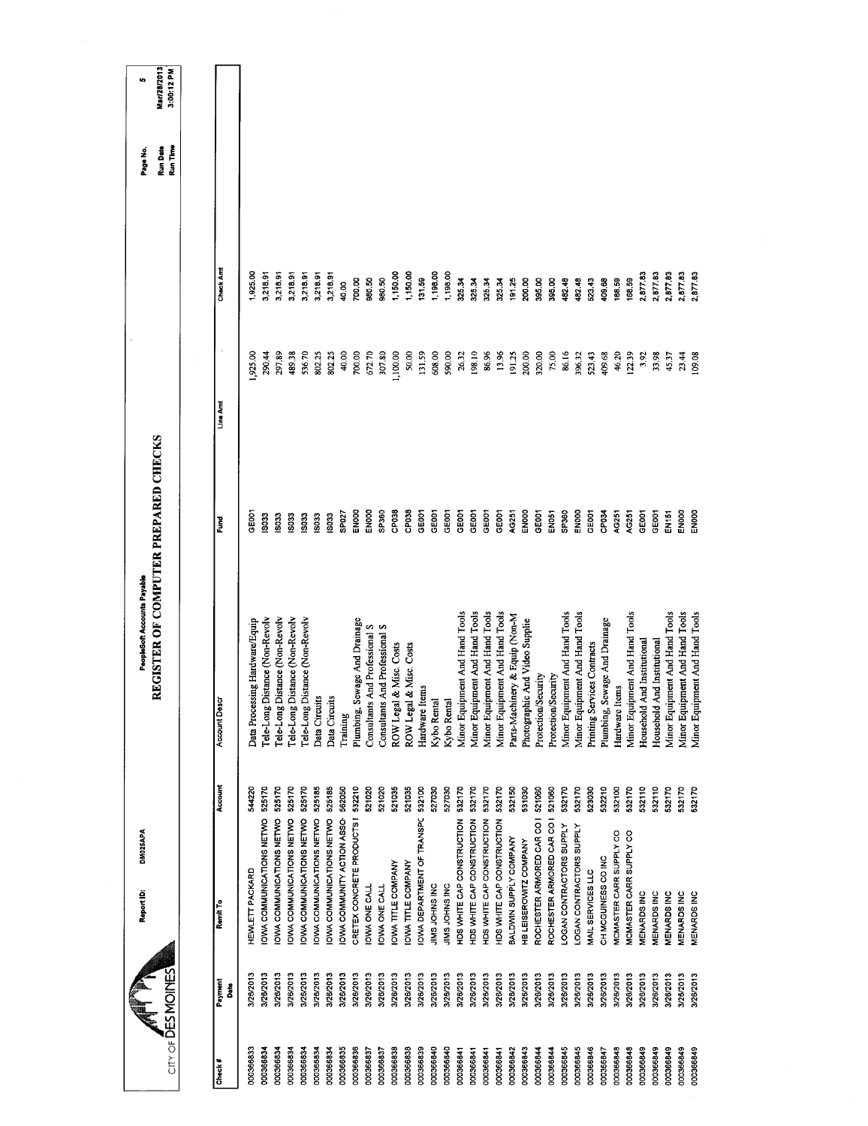| Distance (Non-Revolv<br>Distance (Non-Revolv<br>Distance (Non-Revolv<br>Data Processing Hardware/Equip | Tele-Long Distance (Non-Revolv<br>Data Circuits<br><b>Account Descr</b><br>Kybo Rental<br>ROW Legal<br>Tele-Long!<br>Tele-Long!<br>Tele-Long!<br>Plumbing,<br>Training<br>Account<br>525170<br>525170<br>525185<br>525185<br>521020<br>521020<br>521035<br>521035<br>525170<br>525170<br>562050<br>532100<br>527030<br>544220 | CRETEX CONCRETE PRODUCTS   532210<br>OWA COMMUNITY ACTION ASSO-<br>OWA COMMUNICATIONS NETWO<br>OWA DEPARTMENT OF TRANSPC<br>OWA COMMUNICATIONS NETWO<br>OWA COMMUNICATIONS NETWO<br>IOWA COMMUNICATIONS NETWO<br>HDS WHITE CAP CONSTRUCTION<br>OWA COMMUNICATIONS NETWO<br>OWA COMMUNICATIONS NETWO<br>OWA TITLE COMPANY<br>OWA TITLE COMPANY<br><b>HEWLETT PACKARD</b><br>JIMS JOHNS INC<br>JIMS JOHNS INC<br><b>OWA ONE CALL</b><br>OWA ONE CALL |
|--------------------------------------------------------------------------------------------------------|-------------------------------------------------------------------------------------------------------------------------------------------------------------------------------------------------------------------------------------------------------------------------------------------------------------------------------|----------------------------------------------------------------------------------------------------------------------------------------------------------------------------------------------------------------------------------------------------------------------------------------------------------------------------------------------------------------------------------------------------------------------------------------------------|
|                                                                                                        |                                                                                                                                                                                                                                                                                                                               | 527030                                                                                                                                                                                                                                                                                                                                                                                                                                             |
|                                                                                                        |                                                                                                                                                                                                                                                                                                                               |                                                                                                                                                                                                                                                                                                                                                                                                                                                    |
|                                                                                                        |                                                                                                                                                                                                                                                                                                                               |                                                                                                                                                                                                                                                                                                                                                                                                                                                    |
|                                                                                                        |                                                                                                                                                                                                                                                                                                                               |                                                                                                                                                                                                                                                                                                                                                                                                                                                    |
|                                                                                                        |                                                                                                                                                                                                                                                                                                                               |                                                                                                                                                                                                                                                                                                                                                                                                                                                    |
|                                                                                                        |                                                                                                                                                                                                                                                                                                                               |                                                                                                                                                                                                                                                                                                                                                                                                                                                    |
|                                                                                                        |                                                                                                                                                                                                                                                                                                                               | Data Circuits<br>Kybo Rental                                                                                                                                                                                                                                                                                                                                                                                                                       |
|                                                                                                        |                                                                                                                                                                                                                                                                                                                               |                                                                                                                                                                                                                                                                                                                                                                                                                                                    |
|                                                                                                        |                                                                                                                                                                                                                                                                                                                               |                                                                                                                                                                                                                                                                                                                                                                                                                                                    |
| Sewage And Drainage                                                                                    |                                                                                                                                                                                                                                                                                                                               | Consultants And Professional S                                                                                                                                                                                                                                                                                                                                                                                                                     |
|                                                                                                        |                                                                                                                                                                                                                                                                                                                               | Consultants And Professional S<br>Hardware Items                                                                                                                                                                                                                                                                                                                                                                                                   |
|                                                                                                        |                                                                                                                                                                                                                                                                                                                               |                                                                                                                                                                                                                                                                                                                                                                                                                                                    |
| & Misc. Costs                                                                                          |                                                                                                                                                                                                                                                                                                                               | ROW Legal & Misc. Costs                                                                                                                                                                                                                                                                                                                                                                                                                            |
|                                                                                                        |                                                                                                                                                                                                                                                                                                                               |                                                                                                                                                                                                                                                                                                                                                                                                                                                    |
|                                                                                                        |                                                                                                                                                                                                                                                                                                                               |                                                                                                                                                                                                                                                                                                                                                                                                                                                    |
|                                                                                                        |                                                                                                                                                                                                                                                                                                                               |                                                                                                                                                                                                                                                                                                                                                                                                                                                    |
|                                                                                                        |                                                                                                                                                                                                                                                                                                                               |                                                                                                                                                                                                                                                                                                                                                                                                                                                    |
|                                                                                                        |                                                                                                                                                                                                                                                                                                                               | Minor Equipment And Hand Tools<br>532170                                                                                                                                                                                                                                                                                                                                                                                                           |
|                                                                                                        |                                                                                                                                                                                                                                                                                                                               | Minor Equipment And Hand Tools<br>532170                                                                                                                                                                                                                                                                                                                                                                                                           |
|                                                                                                        |                                                                                                                                                                                                                                                                                                                               | Minor Equipment And Hand Tools<br>532170                                                                                                                                                                                                                                                                                                                                                                                                           |
|                                                                                                        |                                                                                                                                                                                                                                                                                                                               | Minor Equipment And Hand Tools<br>532170                                                                                                                                                                                                                                                                                                                                                                                                           |
|                                                                                                        |                                                                                                                                                                                                                                                                                                                               | Parts-Machinery & Equip (Non-M<br>532150                                                                                                                                                                                                                                                                                                                                                                                                           |
|                                                                                                        |                                                                                                                                                                                                                                                                                                                               | Photographic And Video Supplie<br>531030                                                                                                                                                                                                                                                                                                                                                                                                           |
|                                                                                                        |                                                                                                                                                                                                                                                                                                                               | Protection/Security<br>521060                                                                                                                                                                                                                                                                                                                                                                                                                      |
|                                                                                                        |                                                                                                                                                                                                                                                                                                                               | Protection/Security<br>521060                                                                                                                                                                                                                                                                                                                                                                                                                      |
|                                                                                                        |                                                                                                                                                                                                                                                                                                                               | Minor Equipment And Hand Tools<br>532170                                                                                                                                                                                                                                                                                                                                                                                                           |
|                                                                                                        |                                                                                                                                                                                                                                                                                                                               | Minor Equipment And Hand Tools<br>532170                                                                                                                                                                                                                                                                                                                                                                                                           |
|                                                                                                        |                                                                                                                                                                                                                                                                                                                               | Printing Services Contracts<br>523030                                                                                                                                                                                                                                                                                                                                                                                                              |
|                                                                                                        |                                                                                                                                                                                                                                                                                                                               | Plumbing, Sewage And Drainage<br>532210                                                                                                                                                                                                                                                                                                                                                                                                            |
|                                                                                                        |                                                                                                                                                                                                                                                                                                                               | tems<br>Hardware I<br>532100                                                                                                                                                                                                                                                                                                                                                                                                                       |
|                                                                                                        |                                                                                                                                                                                                                                                                                                                               | Minor Equipment And Hand Tools<br>532170                                                                                                                                                                                                                                                                                                                                                                                                           |
|                                                                                                        |                                                                                                                                                                                                                                                                                                                               | Household And Institutional<br>532110                                                                                                                                                                                                                                                                                                                                                                                                              |
| And Institutional                                                                                      |                                                                                                                                                                                                                                                                                                                               | Household<br>532110                                                                                                                                                                                                                                                                                                                                                                                                                                |
|                                                                                                        |                                                                                                                                                                                                                                                                                                                               | Minor Equipment And Hand Tools<br>532170                                                                                                                                                                                                                                                                                                                                                                                                           |
| Minor Equipment And Hand Tools                                                                         |                                                                                                                                                                                                                                                                                                                               | 532170                                                                                                                                                                                                                                                                                                                                                                                                                                             |
| Minor Equipment And Hand Tools                                                                         |                                                                                                                                                                                                                                                                                                                               | 532170                                                                                                                                                                                                                                                                                                                                                                                                                                             |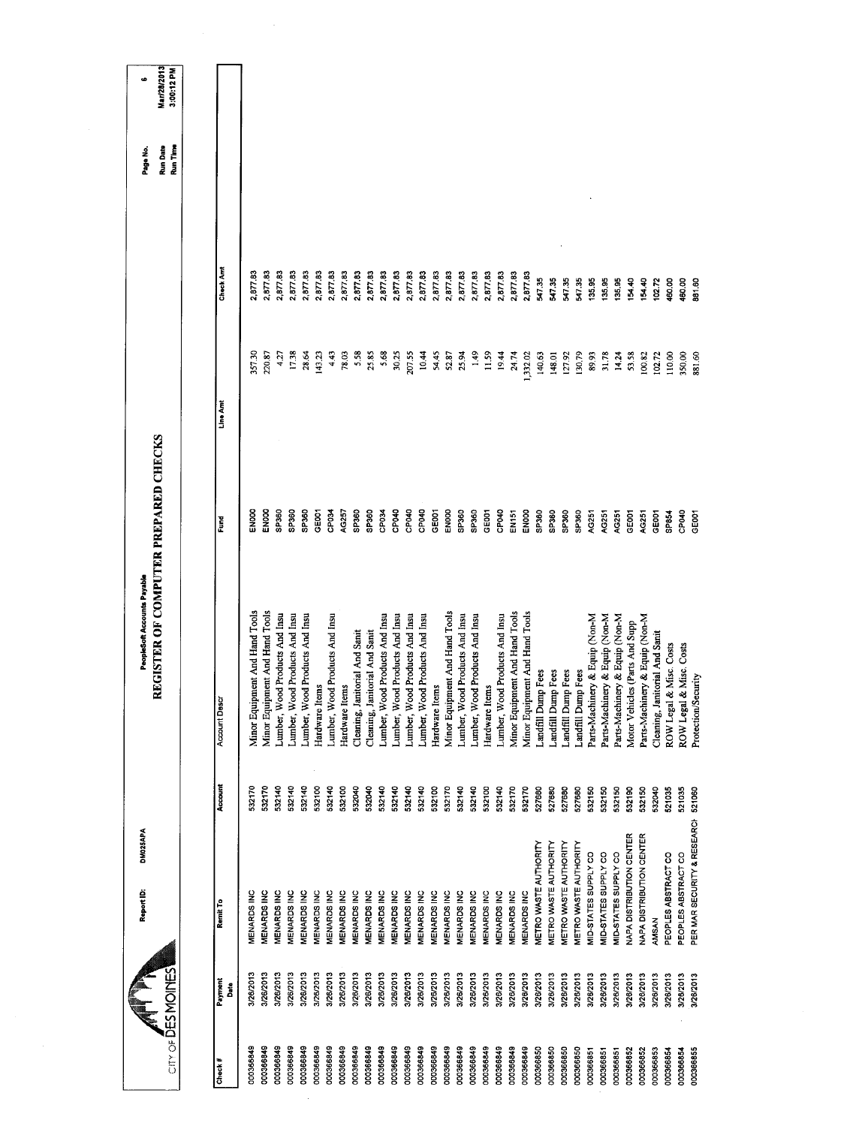| $CITY$ of $\overline{D}ES$ MOINES | Report ID:                   | DM025APA | REGISTER OF COMPUTER PREPARED CHECKS<br>PeopleSoft Accounts Payable |             |          |           | Run Time<br>Run Date<br>Page No. | Mar/28/2013<br>3:00:12 PM<br>٠ |
|-----------------------------------|------------------------------|----------|---------------------------------------------------------------------|-------------|----------|-----------|----------------------------------|--------------------------------|
|                                   |                              |          |                                                                     |             |          |           |                                  |                                |
| Payment<br>Date<br>Check#         | Remit To                     | Account  | <b>Account Descr</b>                                                | Fund        | Line Amt | Check Amt |                                  |                                |
| 3/26/2013<br>000366849            | <b>MENARDS INC</b>           | 532170   | Minor Equipment And Hand Tools                                      | <b>ENOO</b> | 357.30   | 2,877.83  |                                  |                                |
| 3/26/2013<br>000366849            | MENARDS INC                  | 532170   | Minor Equipment And Hand Tools                                      | EN000       | 220.87   | 2,87783   |                                  |                                |
| 3/26/2013<br>000366849            | MENARDS INC                  | 532140   | Lumber, Wood Products And Insu                                      | SP360       | 427      | 2,877.83  |                                  |                                |
| 3/26/2013<br>000366849            | <b>MENARDS INC</b>           | 532140   | Lumber, Wood Products And Insu                                      | SP360       | 17.38    | 2,877.83  |                                  |                                |
| 3/20/2013<br>000366849            | MENARDS INC                  | 532140   | Lumber, Wood Products And Insu                                      | SP360       | 28.64    | 2,877.83  |                                  |                                |
| 3/26/2013<br>000366849            | <b>MENARDS INC</b>           | 532100   | Hardware Items                                                      | GEOCT       | 143.23   | 2,877.83  |                                  |                                |
| 3/26/2013<br>000366849            | MENARDS INC                  | 532140   | Lumber, Wood Products And Insu                                      | CP034       | 4.43     | 2,877.83  |                                  |                                |
| 3/26/2013<br>00366849             | <b>MENARDS INC</b>           | 532100   | Hardware Items                                                      | AG257       | 78.03    | 2,877.83  |                                  |                                |
| 3/26/2013<br>000366849            | MENARDS INC                  | 532040   | Cleaning, Janitorial And Sanit                                      | SP360       | 5.58     | 2,877.83  |                                  |                                |
| 3/26/2013<br>000366849            | <b>MENARDS INC</b>           | 532040   | Cleaning, Janitorial And Sanit                                      | SP360       | 25.85    | 2,877.83  |                                  |                                |
| 3/26/2013<br>00366849             | MENARDS INC                  | 532140   | Lumber, Wood Products And Insu                                      | CP034       | 5.68     | 2,877.83  |                                  |                                |
| 3/26/2013<br>000366849            | MENARDS INC                  | 532140   | Lumber, Wood Products And Insu                                      | CP040       | 30,25    | 2,877.83  |                                  |                                |
| 3/26/2013<br>000366849            | <b>MENARDS INC</b>           | 532140   | Lumber, Wood Products And Insu                                      | CPO40       | 207.55   | 2,877.83  |                                  |                                |
| 3/26/2013<br>100366849            | MENARDS INC                  | 532140   | Lumber, Wood Products And Insu                                      | CP040       | 10.44    | 2,877.83  |                                  |                                |
| 3/26/2013<br>000366849            | <b>MENARDS INC</b>           | 532100   | Hardware Items                                                      | GE001       | 54.45    | 2,877.83  |                                  |                                |
| 3/26/2013<br>000366849            | <b>MENARDS INC</b>           | 532170   | Minor Equipment And Hand Tools                                      | ENDOO       | 52.87    | 2,877.83  |                                  |                                |
| 3/26/2013<br>000366849            | MENARDS INC                  | 532140   | Lumber, Wood Products And Insu                                      | SP360       | 25.94    | 2,877.83  |                                  |                                |
| 3/26/2013<br>000366849            | <b>MENARDS INC</b>           | 532140   | Lumber, Wood Products And Insu                                      | SP360       | 1.49     | 2,877.83  |                                  |                                |
| 3/26/2013<br>000366849            | MENARDS INC                  | 532100   | Hardware Items                                                      | GEOOT       | 11.59    | 2,877.83  |                                  |                                |
| 3/26/2013<br>000366849            | MENARDS INC                  | 532140   | Lumber, Wood Products And Insu                                      | CPO40       | 19.44    | 2,877.83  |                                  |                                |
| 3/26/2013<br>000366849            | MENARDS INC                  | 532170   | Minor Equipment And Hand Tools                                      | EN151       | 24.74    | 2,877.83  |                                  |                                |
| 3/26/2013<br>000366849            | <b>MENARDS INC</b>           | 532170   | Minor Equipment And Hand Tools                                      | ENOOO       | 1,332.02 | 2,877.83  |                                  |                                |
| 3/26/2013<br>000366850            | <b>METRO WASTE AUTHORITY</b> | 527680   | Landfill Dump Fees                                                  | SP360       | 140.63   | 547.35    |                                  |                                |
| 3/26/2013<br>000366850            | METRO WASTE AUTHORITY        | 527680   | Landfill Dump Fees                                                  | SP360       | 148.01   | 547.35    |                                  |                                |
| 3/26/2013<br>000366850            | METRO WASTE AUTHORITY        | 527680   | Landfill Dump Fees                                                  | SP360       | 127.92   | 547.35    |                                  |                                |
| 3/26/2013<br>00366850             | METRO WASTE AUTHORITY        | 527680   | Landfill Dump Fees                                                  | SP360       | 130.79   | 547.35    |                                  |                                |
| 3/26/2013<br>000366851            | MID-STATES SUPPLY CO         | 532150   | Parts-Machinery & Equip (Non-M                                      | AG251       | 89.93    | 135.95    |                                  |                                |
| 3/26/2013<br>000366851            | MID-STATES SUPPLY CO         | 532150   | Parts-Machinery & Equip (Non-M                                      | AG251       | 31.78    | 135.95    |                                  |                                |
| 3/26/2013<br>000366851            | MID-STATES SUPPLY CO         | 532150   | Parts-Machinery & Equip (Non-M                                      | AG251       | 14.24    | 135.95    |                                  |                                |
| 3/26/2013<br>000366852            | NAPA DISTRIBUTION CENTER     | 532190   | Motor Vehicles (Parts And Supp                                      | GE001       | 53.58    | 154.40    |                                  |                                |
| 3/26/2013<br>000366852            | NAPA DISTRIBUTION CENTER     | 532150   | Parts-Machinery & Equip (Non-M                                      | AG251       | 100.82   | 154.40    |                                  |                                |
| 3/26/2013<br>000366853            | <b>AMSAN</b>                 | 532040   | Cleaning, Janitorial And Sanit                                      | GEOOT       | 102.72   | 10272     |                                  |                                |
| 3/26/2013<br>000366854            | PEOPLES ABSTRACT CO          | 521035   | ROW Legal & Misc. Costs                                             | SP854       | 110,00   | 460,00    |                                  |                                |
| 3/28/2013<br>000366854            | PEOPLES ABSTRACT CO          | 521035   | ROW Legal & Misc. Costs                                             | CP040       | 350.00   | 460.00    |                                  |                                |
| 3/28/2013<br>000366855            | PER MAR SECURITY & RESEARCH  | 521060   | Protection/Security                                                 | GEOO1       | 881.60   | 981.60    |                                  |                                |
|                                   |                              |          |                                                                     |             |          |           |                                  |                                |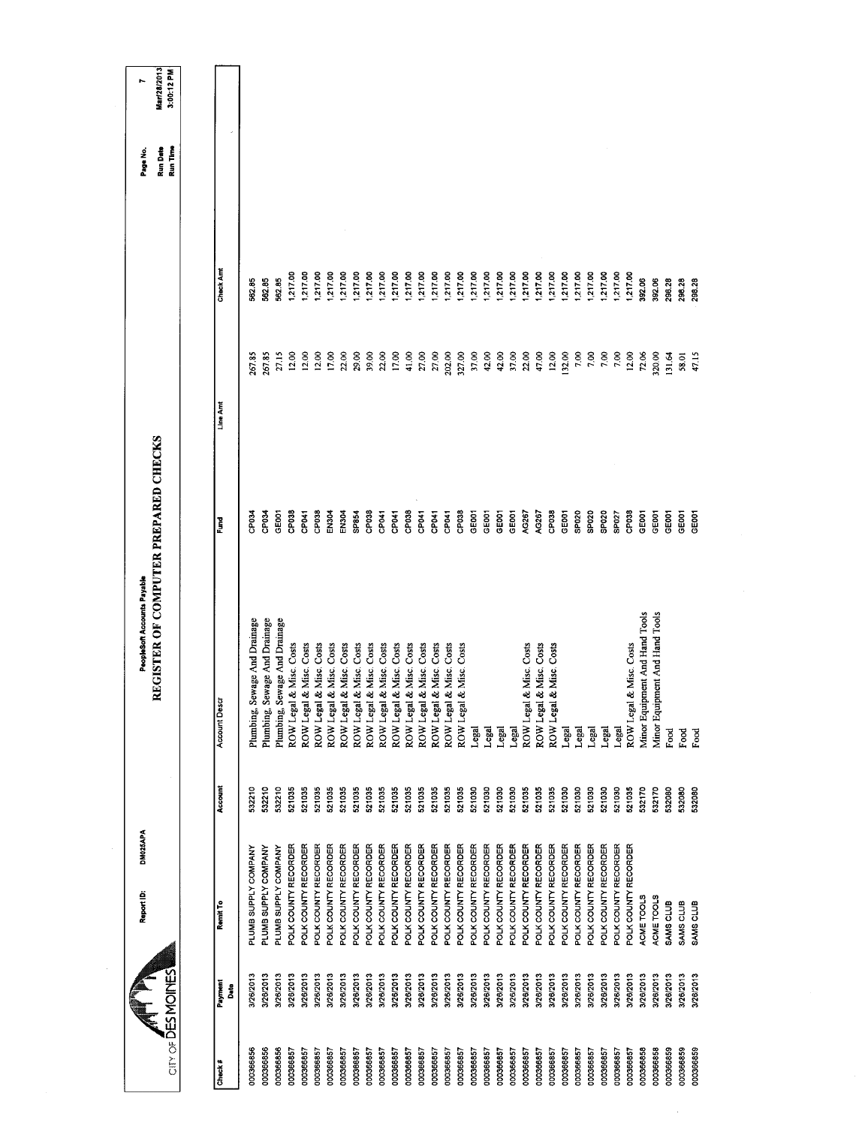| City of DES MOINES |                 | DM025APA<br>Report ID: |         | REGISTER OF COMPUTER PREPARED CHECKS<br>PeopleSoft Accounts Payable |                   |          |           | Run Time<br><b>Run Date</b><br>Page No. | Mar/28/2013<br>3:00:12 PM<br>r. |
|--------------------|-----------------|------------------------|---------|---------------------------------------------------------------------|-------------------|----------|-----------|-----------------------------------------|---------------------------------|
|                    |                 |                        |         |                                                                     |                   |          |           |                                         |                                 |
| Check #            | Payment<br>Date | Remit To               | Account | <b>Account Desc</b>                                                 | Fund              | Line Amt | Check Amt |                                         |                                 |
| 000366856          | 3/26/2013       | PLUMB SUPPLY COMPANY   | 532210  | Plumbing, Sewage And Drainage                                       | <b>ROdC</b>       | 267.85   | 562.85    |                                         |                                 |
| 000366856          | 3/26/2013       | PLUMB SUPPLY COMPANY   | 532210  | Plumbing, Sewage And Drainage                                       | <b>ROdC</b>       | 267.85   | 56285     |                                         |                                 |
| 000366856          | 3/26/2013       | PLUMB SUPPLY COMPANY   | 532210  | Plumbing, Sewage And Drainage                                       | GEOO <sub>1</sub> | 27.15    | 562.85    |                                         |                                 |
| 000366857          | 3/26/2013       | POLK COUNTY RECORDER   | 521035  | & Misc. Costs<br>ROW Legal                                          | CP038             | 12.00    | 1,217.00  |                                         |                                 |
| 000366857          | 3/26/2013       | POLK COUNTY RECORDER   | 521035  | & Misc. Costs<br>ROW Legal                                          | <b>PO41</b>       | 12.00    | 1,217.00  |                                         |                                 |
| 000366857          | 3/26/2013       | POLK COUNTY RECORDER   | 521035  | & Misc. Costs<br>ROW Legal                                          | CP <sub>038</sub> | 12.00    | 1,217.00  |                                         |                                 |
| 000366857          | 3/26/2013       | POLK COUNTY RECORDER   | 521035  | & Misc. Costs<br>ROW Legal                                          | EN <sub>304</sub> | 17.00    | 1,217.00  |                                         |                                 |
| 000366857          | 3/26/2013       | POLK COUNTY RECORDER   | 521035  | & Misc. Costs<br>ROW Legal                                          | EN304             | 22.00    | 1,217.00  |                                         |                                 |
| 000366857          | 3/26/2013       | POLK COUNTY RECORDER   | 521035  | & Misc. Costs<br>ROW Legal                                          | SP854             | 29.00    | 1,217.00  |                                         |                                 |
| 000366857          | 3/26/2013       | POLK COUNTY RECORDER   | 521035  | & Misc. Costs<br>ROW Legal                                          | CP <sub>038</sub> | 39.00    | 1,217.00  |                                         |                                 |
| 000366857          | 3/26/2013       | POLK COUNTY RECORDER   | 521035  | & Misc. Costs<br>ROW Legal                                          | CP041             | 22.00    | 1,217.00  |                                         |                                 |
| 000366857          | 3/26/2013       | POLK COUNTY RECORDER   | 521035  | & Misc. Costs<br>ROW Legal                                          | CP <sub>D41</sub> | 17.00    | 1,217.00  |                                         |                                 |
| 000366857          | 3/26/2013       | POLK COUNTY RECORDER   | 521035  | & Misc. Costs<br>ROW Legal                                          | CP <sub>038</sub> | 41.00    | 1,217.00  |                                         |                                 |
| 000366857          | 3/26/2013       | POLK COUNTY RECORDER   | 521035  | & Misc. Costs<br>ROW Legal                                          | CP <sub>041</sub> | 27.00    | 1,217.00  |                                         |                                 |
| 000366857          | 3/26/2013       | POLK COUNTY RECORDER   | 521035  | & Misc. Costs<br>ROW Legal                                          | CP041             | 27.00    | 1,217.00  |                                         |                                 |
| 000366857          | 3/26/2013       | POLK COUNTY RECORDER   | 521035  | & Misc. Costs<br>ROW Legal                                          | CP <sub>041</sub> | 202.00   | 1,217.00  |                                         |                                 |
| 000366857          | 3/26/2013       | POLK COUNTY RECORDER   | 521035  | & Misc. Costs<br>ROW Legal                                          | CP038             | 327.00   | 1,217.00  |                                         |                                 |
| 000366857          | 3/26/2013       | POLK COUNTY RECORDER   | 521030  | Legal                                                               | GE001             | 37.00    | 1,217.00  |                                         |                                 |
| 000366857          | 3/26/2013       | POLK COUNTY RECORDER   | 521030  | Legal                                                               | GEOO1             | 42.00    | 1,217.00  |                                         |                                 |
| 000366857          | 3/26/2013       | POLK COUNTY RECORDER   | 521030  | Legal                                                               | GE001             | 42.00    | 1,217.00  |                                         |                                 |
| 000366857          | 3/26/2013       | POLK COUNTY RECORDER   | 521030  | Legal                                                               | GEOOT             | 37.00    | 1,217.00  |                                         |                                 |
| 000366857          | 3/26/2013       | POLK COUNTY RECORDER   | 521035  | & Misc. Costs<br>ROW Legal                                          | AG267             | 22.00    | 217.00    |                                         |                                 |
| 000366857          | 3/26/2013       | POLK COUNTY RECORDER   | 521035  | & Misc. Costs<br>ROW Legal                                          | AG267             | 47.00    | 1,217.00  |                                         |                                 |
| 000366857          | 3/26/2013       | POLK COUNTY RECORDER   | 521035  | & Misc. Costs<br>ROW Legal                                          | CP <sub>038</sub> | 12.00    | 1,217.00  |                                         |                                 |
| 000366857          | 9/26/2013       | POLK COUNTY RECORDER   | 521030  | Legal                                                               | GEOOT             | 132.00   | 1,217.00  |                                         |                                 |
| 000366857          | 3/26/2013       | POLK COUNTY RECORDER   | 521030  | Legal                                                               | SPO <sub>20</sub> | 7.00     | 1,217.00  |                                         |                                 |
| 000366857          | 3/26/2013       | POLK COUNTY RECORDER   | 521030  | Legal                                                               | SPO <sub>20</sub> | 7.00     | 1,217.00  |                                         |                                 |
| 000366857          | 3/26/2013       | POLK COUNTY RECORDER   | 521030  | Legal                                                               | SP020             | 7.00     | 1,217.00  |                                         |                                 |
| 000366857          | 3/26/2013       | POLK COUNTY RECORDER   | 521030  | Legal                                                               | SP027             | 7.00     | 1,217.00  |                                         |                                 |
| 000366857          | 3/26/2013       | POLK COUNTY RECORDER   | 521035  | & Misc. Costs<br>ROW Legal                                          | CP <sub>038</sub> | 12.00    | 1,217.00  |                                         |                                 |
| 000366858          | 3/26/2013       | ACME TOOLS             | 532170  | Minor Equipment And Hand Tools                                      | GEOOT             | 72.06    | 392.06    |                                         |                                 |
| 000366858          | 3/26/2013       | ACME TOOLS             | 532170  | Minor Equipment And Hand Tools                                      | GE001             | 320.00   | 392.06    |                                         |                                 |
| 000366859          | 3/26/2013       | SAMS CLUB              | 532080  | Food                                                                | <b>GEOOT</b>      | 131.64   | 298.28    |                                         |                                 |
| 000366859          | 3/26/2013       | SAMS CLUB              | 532080  | Food                                                                | GEOOT             | 58.01    | 298.28    |                                         |                                 |
| 000366859          | 3/26/2013       | SAMS CLUB              | 532080  | Food                                                                | GEOOT             | 47.15    | 298.28    |                                         |                                 |
|                    |                 |                        |         |                                                                     |                   |          |           |                                         |                                 |

 $\mathcal{A}_{\mathcal{A}}$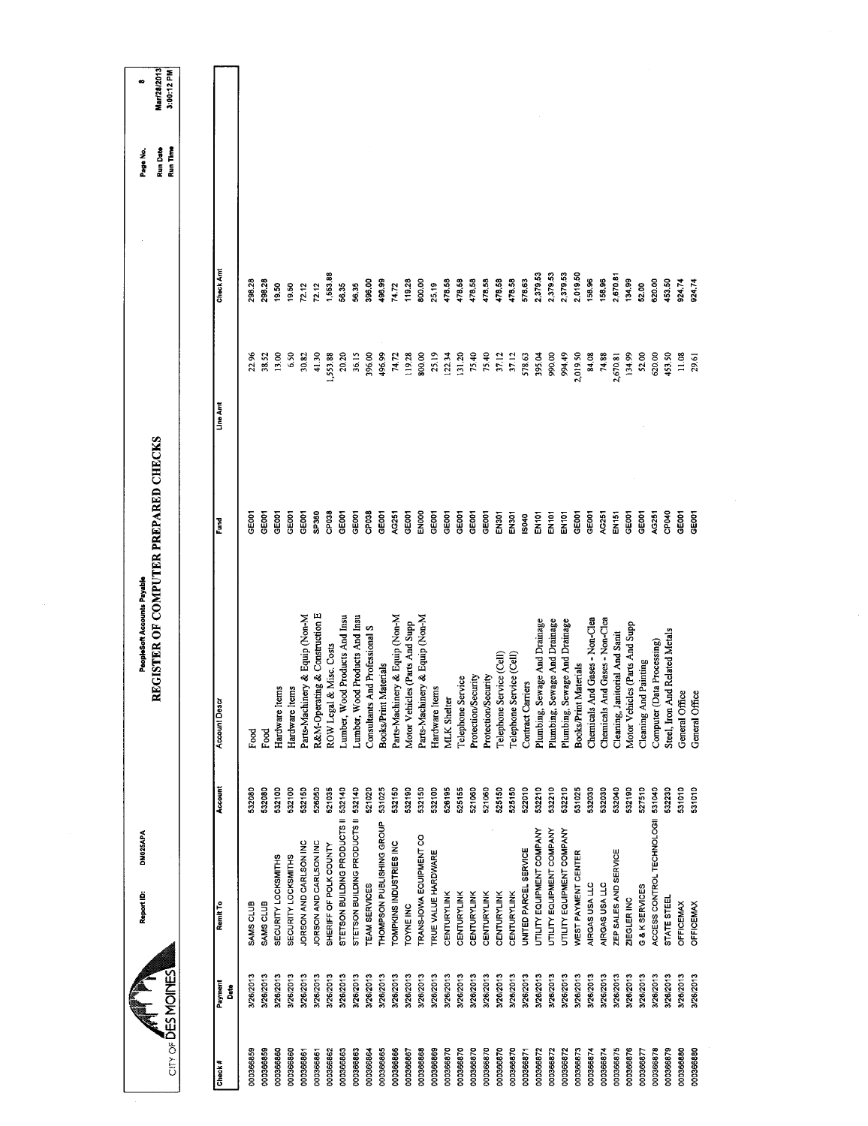| Mar/28/2013<br>3:00:12 PM<br>œ                                      |                 |             |           |                     |                            |                                |                                |                         |                                |                                     |                                |                           |                                |                                |                                |                     |                    |                   |                            |                     |                          |                          |                          |                               |                                    |                               |                              |                                |                                |                                |                                |                       |                            |                                |                  |                  |
|---------------------------------------------------------------------|-----------------|-------------|-----------|---------------------|----------------------------|--------------------------------|--------------------------------|-------------------------|--------------------------------|-------------------------------------|--------------------------------|---------------------------|--------------------------------|--------------------------------|--------------------------------|---------------------|--------------------|-------------------|----------------------------|---------------------|--------------------------|--------------------------|--------------------------|-------------------------------|------------------------------------|-------------------------------|------------------------------|--------------------------------|--------------------------------|--------------------------------|--------------------------------|-----------------------|----------------------------|--------------------------------|------------------|------------------|
| Run Time<br>Run Date<br>Page No.                                    |                 |             |           |                     |                            |                                |                                |                         |                                |                                     |                                |                           |                                |                                |                                |                     |                    |                   |                            |                     |                          |                          |                          |                               |                                    |                               |                              |                                |                                |                                |                                |                       |                            |                                |                  |                  |
|                                                                     | Check Amt       | 298.28      | 298.28    | 9.50                | 19.50                      | 72.12                          | 72.12                          | 1,553.88                | 58.35                          | 56.35                               | 396.00                         | 496.99                    | 74.72                          | 119.28                         | 800.00                         | 25.19               | 478.58             | 478.58            | 478.58                     | 478.58              | 478.58                   | 478.58                   | 578.63                   | 2,379.53                      | 2,379.53                           | 2,379.53                      | 2,019.50                     | 158.96                         | 158,96                         | 2,670.81                       | 134.99                         | 52.00                 | 620.00                     | 453.50                         | 924.74           | 924.74           |
|                                                                     | Line Amt        | 22.96       | 38.52     | 13.00               | 6.50                       | 30.82                          | 41.30                          | 1,553.88                | 20.20                          | 36.15                               | 396.00                         | 496.99                    | 74.72                          | 119.28                         | 800.00                         | 25.19               | 122.34             | 131.20            | 75.40                      | 75.40               | 37.12                    | 37.12                    | 578.63                   | 395.04                        | 990.00                             | 994.49                        | 2,019.50                     | 84.08                          | 74.88                          | 2,670.81                       | 134.99                         | 52.00                 | 620.00                     | 453.50                         | 11.08            | 29.61            |
|                                                                     | Fund            | <b>GOOT</b> | GE001     | GE001               | GE001                      | GEOOT                          | SP360                          | CP038                   | GE <sub>001</sub>              | GE001                               | CP <sub>038</sub>              | GEOO1                     | AG251                          | GE001                          | EN000                          | GE001               | GEOOT              | GE001             | GEODT                      | GE001               | EN301                    | EN301                    | IS040                    | <b>EN101</b>                  | EN101                              | <b>EN101</b>                  | GE001                        | GE001                          | AG251                          | EN151                          | GEOD1                          | GE001                 | 4G251                      | CP040                          | GE001            | GE001            |
| REGISTER OF COMPUTER PREPARED CHECKS<br>PeopleSoft Accounts Payable | Account Descr   | Food        | Food      | Hardware Items      | Hardware Items             | Parts-Machinery & Equip (Non-M | R&M-Operating & Construction E | ROW Legal & Misc. Costs | Lumber, Wood Products And Insu | Lumber, Wood Products And Insu      | Consultants And Professional S | Books/Print Materials     | Parts-Machinery & Equip (Non-M | Motor Vehicles (Parts And Supp | Parts-Machinery & Equip (Non-M | Hardware Items      | <b>MLK</b> Shelter | Telephone Service | <b>Protection/Security</b> | Protection/Security | Telephone Service (Cell) | Telephone Service (Cell) | <b>Contract Carriers</b> | Plumbing, Sewage And Drainage | sewage And Drainage<br>Plumbing, S | Plumbing, Sewage And Drainage | <b>Books/Print Materials</b> | Chemicals And Gases - Non-Clea | Chemicals And Gases - Non-Clea | Cleaning, Janitorial And Sanit | Motor Vehicles (Parts And Supp | Cleaning And Painting | Computer (Data Processing) | Steel, Iron And Related Metals | General Office   | General Office   |
|                                                                     | Account         | 532080      | 532080    | 532100              | 532100                     | 532150                         | 526050                         | 521035                  | 532140                         |                                     | 521020                         | 531025                    | 532150                         | 532190                         | 532150                         | 532100              | 526195             | 525155            | 521060                     | 521060              | 525150                   | 525150                   | 522010                   | 532210                        | 532210                             | 532210                        | 531025                       | 532030                         | 532030                         | 532040                         | 532190                         | 527510                | 531040                     | 532230                         | 531010           | 531010           |
| DM025APA<br>Report ID:                                              | Remit To        | SAMS CLUB   | SAMS CLUB | SECURITY LOCKSMITHS | <b>SECURITY LOCKSMITHS</b> | JORSON AND CARLSON INC         | JORSON AND CARLSON INC         | SHERIFF OF POLK COUNTY  | STETSON BUILDING PRODUCTS II   | STETSON BUILDING PRODUCTS II 532140 | TEAM SERVICES                  | THOMPSON PUBLISHING GROUP | TOMPKINS INDUSTRIES INC        | <b>TOYNE INC</b>               | TRANS-IOWA EQUIPMENT CO        | TRUE VALUE HARDWARE | CENTURYLINK        | CENTURYLINK       | <b>CENTURYLINK</b>         | CENTURYLINK         | <b>CENTURYLINK</b>       | <b>CENTURYLINK</b>       | UNITED PARCEL SERVICE    | UTILITY EQUIPMENT COMPANY     | UTILITY EQUIPMENT COMPANY          | UTILITY EQUIPMENT COMPANY     | WEST PAYMENT CENTER          | AIRGAS USA LLC                 | AIRGAS USA LLC                 | ZEP SALES AND SERVICE          | ZIEGLER INC                    | G & K SERVICES        | ACCESS CONTROL TECHNOLOGII | STATE STEEL                    | <b>OFFICEMAX</b> | <b>OFFICEMAX</b> |
|                                                                     | Payment<br>Date | 3/26/2013   | 3/26/2013 | 3/26/2013           | 3/26/2013                  | 3/26/2013                      | 3/26/2013                      | 3/26/2013               | 3/26/2013                      | 3/26/2013                           | 3/26/2013                      | 3/26/2013                 | 3/26/2013                      | 3/26/2013                      | 3/26/2013                      | 3/26/2013           | 3/26/2013          | 3/26/2013         | 3/26/2013                  | 3/26/2013           | 3/26/2013                | 3/26/2013                | 3/26/2013                | 3/26/2013                     | 3/26/2013                          | 3/26/2013                     | 3/26/2013                    | 3/26/2013                      | 3/26/2013                      | 3/26/2013                      | 3/26/2013                      | 3/26/2013             | 3/28/2013                  | 3/26/2013                      | 3/26/2013        | 3/26/2013        |
| CITY OF DES MOINES                                                  | Check#          | 000366859   | 000366859 | 000366860           | 000366860                  | 000366861                      | 000366861                      | 000366862               | 000366863                      | 000366863                           | 000366864                      | 000366865                 | 000366866                      | 000366867                      | 000366868                      | 000366869           | 000366870          | 000366870         | 000366870                  | 000366870           | 000366870                | 000366870                | 000366871                | 000366872                     | 000366872                          | 000366872                     | 000366873                    | 000366874                      | 000366874                      | 000366875                      | 000366876                      | 000366877             | 000366878                  | 000366879                      | 000366880        | 000366880        |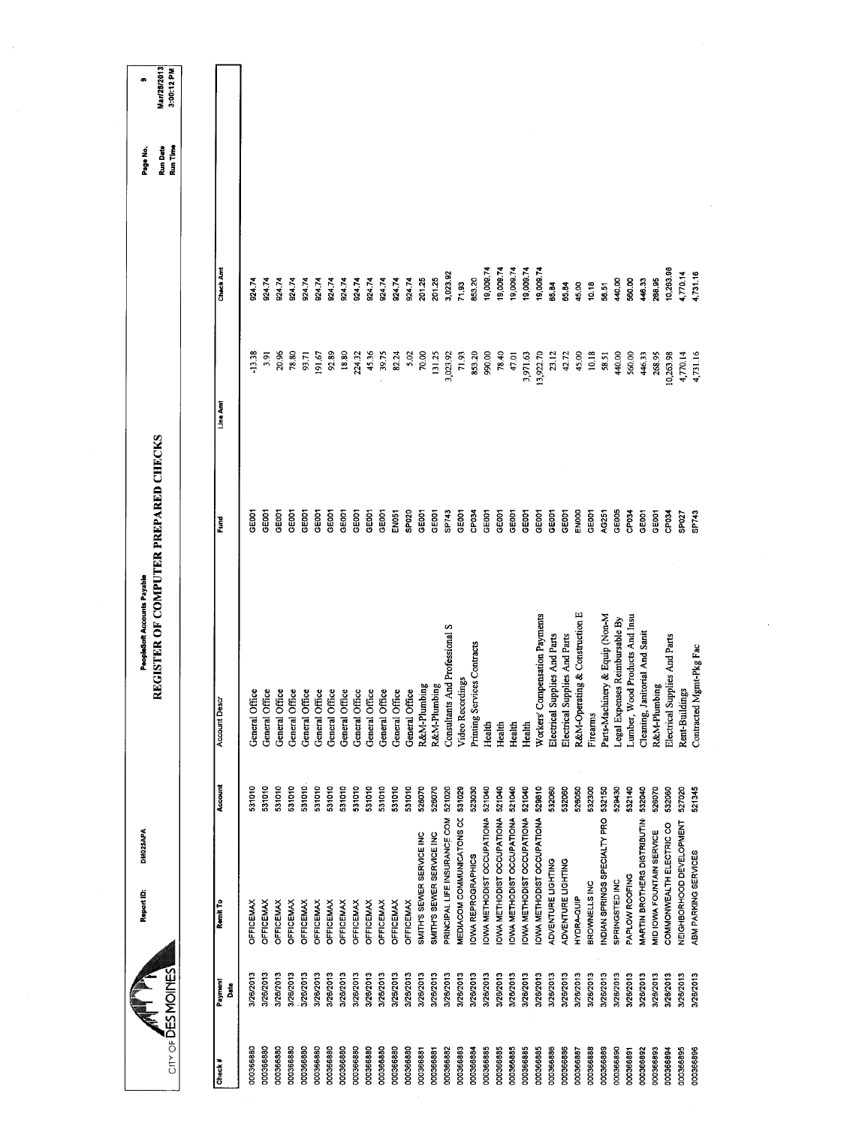| Mar/28/2013<br>3:00:12 PM<br>œ                                      |                     |                |                |                  |                  |                |                  |                                  |                  |                |                  |                   |                  |                           |                           |                                |                           |                             |                                  |                            |                                  |                           |                                  |                               |                               |                                            |                                |                                |                                |                                |                           |                               |                          |                         |  |  |  |
|---------------------------------------------------------------------|---------------------|----------------|----------------|------------------|------------------|----------------|------------------|----------------------------------|------------------|----------------|------------------|-------------------|------------------|---------------------------|---------------------------|--------------------------------|---------------------------|-----------------------------|----------------------------------|----------------------------|----------------------------------|---------------------------|----------------------------------|-------------------------------|-------------------------------|--------------------------------------------|--------------------------------|--------------------------------|--------------------------------|--------------------------------|---------------------------|-------------------------------|--------------------------|-------------------------|--|--|--|
| Run Date<br>Run Time<br>Page No.                                    |                     |                |                |                  |                  |                |                  |                                  |                  |                |                  |                   |                  |                           |                           |                                |                           |                             |                                  |                            |                                  |                           |                                  |                               |                               |                                            |                                |                                |                                |                                |                           |                               |                          |                         |  |  |  |
|                                                                     | Check Amt           | 92474          | 924.74         | 924.74           | 92474            | 924.74         | 924.74           | 924.74<br>924.74                 | 924.74           | 924.74         | 924.74           | 924.74            | 924.74           | 201.25                    | 201.25                    | 3,023.92                       | 71.93                     | 853,20                      | 19,009.74                        | 19,009.74                  | 19,009.74                        | 19,009.74                 | 19,009.74                        | 65.84                         | 65.84                         | 10.18<br>45.00                             | 58.51                          | 440.00                         | 560.00                         | 446.33                         | 288.95                    | 10,263.98                     | 4,770.14                 | 4,731.16                |  |  |  |
|                                                                     |                     | $-13.38$       | 3.91           | 20.96            | 78.80            | 93.71          | 191.67           | 92.89<br>18.80                   | 224.32           | 45.36          | 39.75            | 82.24             | 5.02             | 70.00                     | 131.25                    | 3,023.92                       | 71.93                     | 853.20                      | 990.00                           | 78.40                      | 47.01                            | 3,971.63                  | 13,922.70                        | 23.12                         | 42.72                         | 45.00<br>10.18                             | 58.51                          | 440.00                         | 560.00                         | 446.33                         | 268.95                    | 10,263.98                     | 4,770.14                 | 4,731.16                |  |  |  |
|                                                                     | Line Amt            |                |                |                  |                  |                |                  |                                  |                  |                |                  |                   |                  |                           |                           |                                |                           |                             |                                  |                            |                                  |                           |                                  |                               |                               |                                            |                                |                                |                                |                                |                           |                               |                          |                         |  |  |  |
|                                                                     | Eund                | GE001          | GE001          | GEODT            | GE001            | GE001          | GE001            | GEOOT<br>GE001                   | GE001            | GEOOT          | GE001            | EN <sub>051</sub> | SP020            | GEOOT                     | GEOOT                     | SP743                          | GEOOT                     | CP034                       | GEOOT                            | GEOOT                      | GEOOT                            | GEOD1                     | GEOOT                            | GEOCT                         | GEOD1                         | ENDOO<br>GE001                             | AG251                          | GE005                          | CP <sub>034</sub>              | GE001                          | GE001                     | CP <sub>034</sub>             | SP <sub>02</sub> 7       | SP743                   |  |  |  |
| REGISTER OF COMPUTER PREPARED CHECKS<br>PeopleSoft Accounts Payable | <b>Account Desc</b> | General Office | General Office | General Office   | General Office   | General Office | General Office   | General Office<br>General Office | General Office   | General Office | General Office   | General Office    | General Office   | R&M-Plumbing              | R&M-Plumbing              | Consultants And Professional S | Video Recordings          | Printing Services Contracts | Health                           | Health                     | Health                           | Health                    | Workers' Compensation Payments   | Electrical Supplies And Parts | Electrical Supplies And Parts | R&M-Operating & Construction E<br>Firearms | Parts-Machinery & Equip (Non-M | Legal Expenses Reimbursable By | Lumber, Wood Products And Insu | Cleaning, Janitorial And Sanit | R&M-Plumbing              | Electrical Supplies And Parts | Rent-Buildings           | Contracted Mgmt-Pkg Fac |  |  |  |
|                                                                     | Account             | 531010         | 531010         | 531010           | 531010           | 531010         | 531010           | 531010<br>531010                 | 531010           | 531010         | 531010           | 531010            | 531010           | 526070                    | 526070                    | 521020                         | 531029                    | 523030                      | 521040                           | 521040                     | 521040                           | 521040                    | 529810                           | 532060                        | 532060                        | 526050<br>532300                           | 532150                         | 529430                         | 532140                         | 532040                         | 526070                    | 532060                        | 527020                   | 521345                  |  |  |  |
| DM025APA<br>Report ID:                                              | Remit To            | OFFICEMAX      | OFFICEMAX      | <b>OFFICEMAX</b> | <b>OFFICEMAX</b> | OFFICEMAX      | <b>OFFICEMAX</b> | OFFICEMAX<br>OFFICEMAX           | <b>OFFICEMAX</b> | OFFICEMAX      | <b>OFFICEMAX</b> | <b>OFFICEMAX</b>  | <b>OFFICEMAX</b> | SMITH'S SEWER SERVICE INC | SMITH'S SEWER SERVICE INC | PRINCIPAL LIFE INSURANCE COM   | MEDIACOM COMMUNICATONS CO | <b>IOWA REPROGRAPHICS</b>   | <b>OWA METHODIST OCCUPATIONA</b> | IOWA METHODIST OCCUPATIONA | <b>OWA METHODIST OCCUPATIONA</b> | OWA METHODIST OCCUPATIONA | <b>OWA METHODIST OCCUPATIONA</b> | ADVENTURE LIGHTING            | ADVENTURE LIGHTING            | BROWNELLS INC<br>HYDRA-QUIP                | INDIAN SPRINGS SPECIALTY PRO   | SPRINGSTED INC                 | PAPLOW ROOFING                 | MARTIN BROTHERS DISTRIBUTIN    | MID IOWA FOUNTAIN SERVICE | COMMONWEALTH ELECTRIC CO      | NEIGHBORHOOD DEVELOPMENT | ABM PARKING SERVICES    |  |  |  |
| $CITY OF \overline{D}ES MOMES$                                      | Payment<br>Ďã       | 3/26/2013      | 3/26/2013      | 3/26/2013        | 3/26/2013        | 3/26/2013      | 3/26/2013        | 3/26/2013<br>3/26/2013           | 3/26/2013        | 3/26/2013      | 3/26/2013        | 3/26/2013         | 3/26/2013        | 3/26/2013                 | 3/26/2013                 | 3/26/2013                      | 3/26/2013                 | 3/26/2013                   | 3/26/2013                        | 3/26/2013                  | 3/26/2013                        | 3/26/2013                 | 3/26/2013                        | 3/26/2013                     | 3/26/2013                     | 3/26/2013<br>3/26/2013                     | 3/26/2013                      | 3/26/2013                      | 3/26/2013                      | 3/26/2013                      | 3/26/2013                 | 3/26/2013                     | 3/26/2013                | 3/26/2013               |  |  |  |
|                                                                     | Check #             | 000366880      | 000366880      | 000366880        | 000366880        | 000366880      | 000366880        | 000366880<br>000366880           | 000366880        | 000366880      | 000366880        | 000366880         | 000366880        | 000366881                 | 000366881                 | 000366882                      | 000366883                 | 000366884                   | 000366885                        | 000366885                  | 000366885                        | 000366885                 | 000366885                        | 000366886                     | 000366886                     | 000366887<br>000366888                     | 000366889                      | 000366890                      | 000366891                      | 000366892                      | 000366893                 | 000366894                     | 000366895                | 000366896               |  |  |  |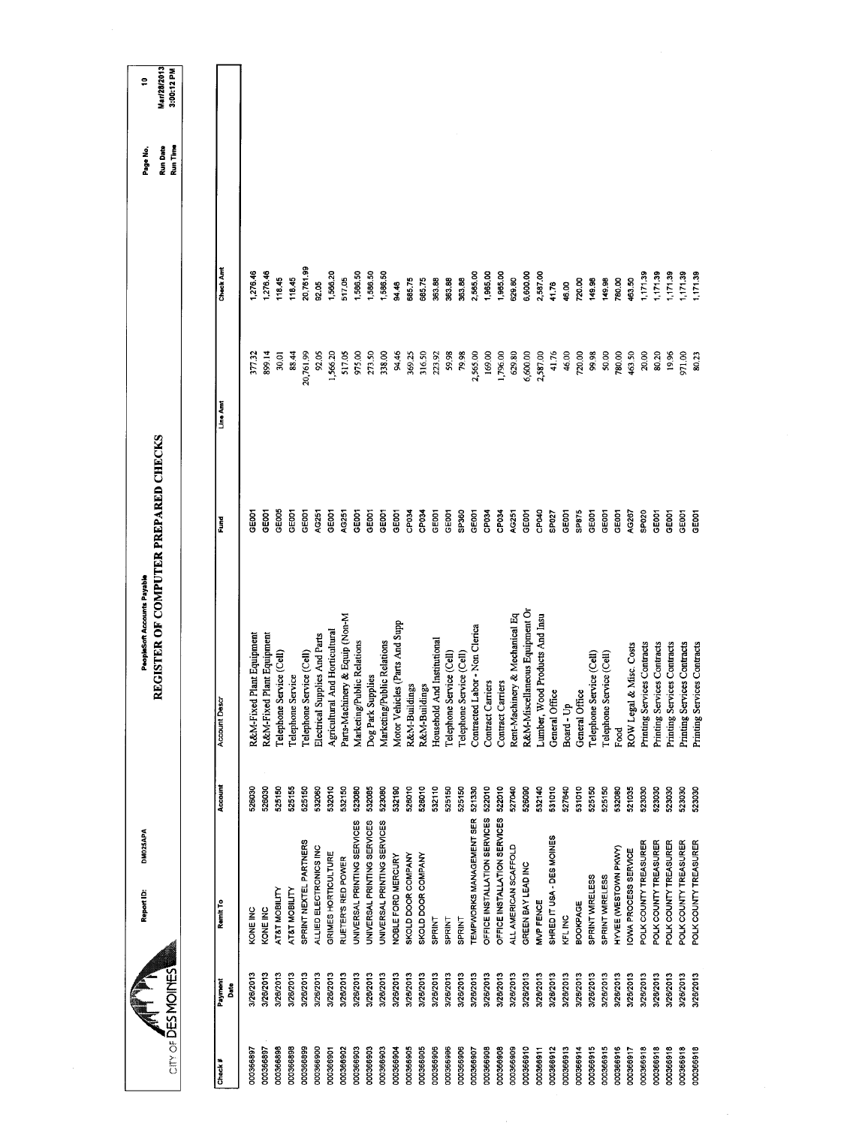| CITY OF DES MOINES | Report ID:                      | DM025APA                     |         | <b>UEGISTER OF COMPUTER PREPARED CHECKS</b><br>PeopleSoft Accounts Payable |                   |           |                  | <b>Run Date</b><br>Run Time<br>Page No. | Mar/28/2013<br>3:00:12 PM<br>÷ |
|--------------------|---------------------------------|------------------------------|---------|----------------------------------------------------------------------------|-------------------|-----------|------------------|-----------------------------------------|--------------------------------|
|                    |                                 |                              |         |                                                                            |                   |           |                  |                                         |                                |
| Check#             | Remit To<br>Payment<br>Date     |                              | Account | Account Descr                                                              | Fund              | Line Amt  | <b>Check And</b> |                                         |                                |
| 000366897          | KONE INC<br>3/26/2013           |                              | 526030  | Plant Equipment<br>R&M-Fixed                                               | GE001             | 377.32    | 1,276.46         |                                         |                                |
| 000366897          | KONE INC<br>3/26/2013           |                              | 526030  | Plant Equipment<br>R&M-Fixed                                               | GE001             | 899.14    | 1,276.46         |                                         |                                |
| 000366898          | AT&T MOBILITY<br>3/26/2013      |                              | 525150  | Telephone Service (Cell)                                                   | GE005             | 30,01     | 118.45           |                                         |                                |
| 000366898          | AT&T MOBILITY<br>3/26/2013      |                              | 525155  | Telephone Service                                                          | GEOOT             | 88.44     | 118.45           |                                         |                                |
| 000366899          | 3/26/2013                       | SPRINT NEXTEL PARTNERS       | 525150  | Telephone Service (Cell)                                                   | GEOOT             | 20,761.99 | 20,761.99        |                                         |                                |
| 000366900          | 3/26/2013                       | ALLIED ELECTRONICS INC       | 532060  | Electrical Supplies And Parts                                              | AG251             | 92.05     | 92.05            |                                         |                                |
| 000366901          | 3/26/2013                       | GRIMES HORTICULTURE          | 532010  | And Horticultural<br>Agricultural                                          | GE <sub>001</sub> | 1,566.20  | 1,566.20         |                                         |                                |
| 000366902          | RUETER'S RED POWER<br>3/26/2013 |                              | 532150  | Parts-Machinery & Equip (Non-M                                             | AG251             | 517.05    | 517.05           |                                         |                                |
| 000366903          | 3/26/2013                       | UNIVERSAL PRINTING SERVICES  | 523080  | Marketing/Public Relations                                                 | GE001             | 975.00    | 1,586.50         |                                         |                                |
| 000366903          | 3/26/2013                       | UNIVERSAL PRINTING SERVICES  | 532085  | Dog Park Supplies                                                          | GEOOT             | 273.50    | 1,586.50         |                                         |                                |
| 000366903          | 3/26/2013                       | UNIVERSAL PRINTING SERVICES  | 523080  | Marketing/Public Relations                                                 | GE001             | 338.00    | 1,586.50         |                                         |                                |
| 000366904          | 3/26/2013                       | NOBLE FORD MERCURY           | 532190  | Motor Vehicles (Parts And Supp                                             | GE001             | 94.46     | 94 46            |                                         |                                |
| 000366905          | 3/26/2013                       | SKOLD DOOR COMPANY           | 526010  | R&M-Buildings                                                              | CP <sub>034</sub> | 369.25    | 685,75           |                                         |                                |
| 000366905          | 3/26/2013                       | SKOLD DOOR COMPANY           | 526010  | R&M-Buildings                                                              | CP034             | 316.50    | 685.75           |                                         |                                |
| 000365906          | <b>SPRINT</b><br>3/26/2013      |                              | 532110  | Household And Institutional                                                | GEOOT             | 223.92    | 363.88           |                                         |                                |
| 000366906          | SPRINT<br>3/26/2013             |                              | 525150  | Telephone Service (Cell)                                                   | GEOCH             | 59.98     | 363.88           |                                         |                                |
| 000365906          | SPRINT<br>3/26/2013             |                              | 525150  | Telephone Service (Cell)                                                   | SP360             | 79.98     | 363.88           |                                         |                                |
| 000366907          | 3/26/2013                       | TEMPWORKS MANAGEMENT SER     | 521330  | Contracted Labor - Non Clerica                                             | GEOOT             | 2,565.00  | 2,565.00         |                                         |                                |
| 000366908          | 3/26/2013                       | OFFICE INSTALLATION SERVICES | 522010  | Contract Carriers                                                          | CP034             | 169.00    | 1,965.00         |                                         |                                |
| 000366908          | 3/26/2013                       | OFFICE INSTALLATION SERVICES | 522010  | Contract Carriers                                                          | CP034             | 1,796.00  | 1,965.00         |                                         |                                |
| 000366909          | 3/26/2013                       | ALL AMERICAN SCAFFOLD        | 527040  | Rent-Machinery & Mechanical Eq                                             | AG251             | 629.80    | 629.80           |                                         |                                |
| 000366910          | GREEN BAY LEAD INC<br>3/26/2013 |                              | 526090  | R&M-Miscellaneous Equipment Or                                             | GEOOT             | 6,600.00  | 6,600.00         |                                         |                                |
| 000366911          | MVP FENCE<br>3/26/2013          |                              | 532140  | Lumber, Wood Products And Insu                                             | CPO40             | 2,587.00  | 2,587.00         |                                         |                                |
| 000366912          | 3/26/2013                       | SHRED IT USA - DES MOINES    | 531010  | General Office                                                             | SP027             | 41.76     | 41.76            |                                         |                                |
| 000366913          | KFL INC<br>3/26/2013            |                              | 527640  | Board - Up                                                                 | GE001             | 46.00     | 46.00            |                                         |                                |
| 000366914          | BOOKPAGE<br>3/26/2013           |                              | 531010  | General Office                                                             | SP875             | 720.00    | 720.00           |                                         |                                |
| 000366915          | SPRINT WIRELESS<br>3/26/2013    |                              | 525150  | Telephone Service (Cell)                                                   | GEOD1             | 99.98     | 149.98           |                                         |                                |
| 000366915          | SPRINT WIRELESS<br>3/26/2013    |                              | 525150  | Telephone Service (Cell)                                                   | GEOD1             | 50.00     | 149,98           |                                         |                                |
| 000366916          | 3/26/2013                       | HYVEE (WESTOWN PKWY)         | 532080  | Food                                                                       | GE001             | 780.00    | 780.00           |                                         |                                |
| 000366917          | 3/26/2013                       | OWA PROCESS SERVICE          | 521035  | ROW Legal & Misc. Costs                                                    | AG267             | 463.50    | 463.50           |                                         |                                |
| 000366918          | 3/26/2013                       | POLK COUNTY TREASURER        | 523030  | Printing Services Contracts                                                | SP020             | 20.00     | 1,171.39         |                                         |                                |
| 000366918          | 3/26/2013                       | POLK COUNTY TREASURER        | 523030  | Printing Services Contracts                                                | GE001             | 80.20     | 1,171.39         |                                         |                                |
| 000366918          | 3/26/2013                       | POLK COUNTY TREASURER        | 523030  | <b>Printing Services Contracts</b>                                         | GEDO1             | 19.96     | 1,171.39         |                                         |                                |
| 000366918          | 3/26/2013                       | POLK COUNTY TREASURER        | 523030  | Printing Services Contracts                                                | GE001             | 00176     | 1,171.39         |                                         |                                |
| 000366918          | 3/26/2013                       | POLK COUNTY TREASURER        | 523030  | Printing Services Contracts                                                | GE <sub>001</sub> | 80.23     | 1,171.39         |                                         |                                |
|                    |                                 |                              |         |                                                                            |                   |           |                  |                                         |                                |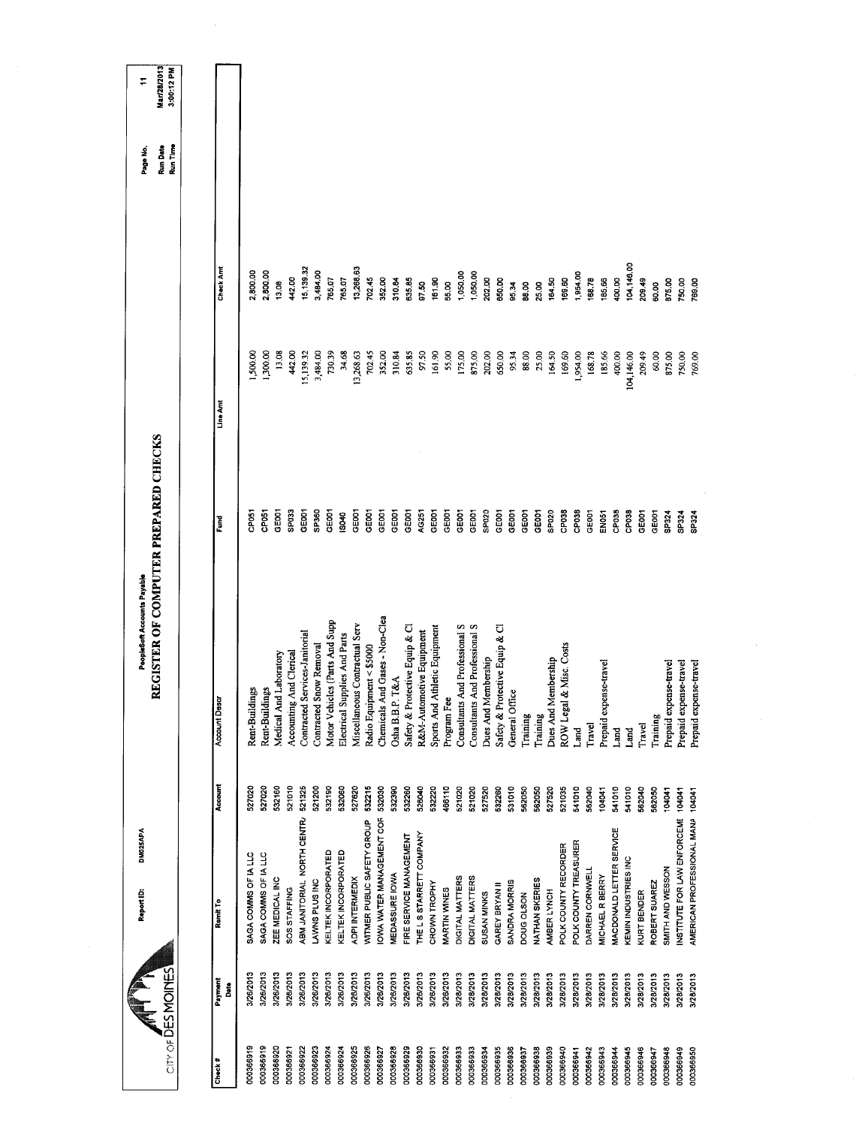| City of DESMOINES         | DM025APA<br>Report ID:             |         | REGISTER OF COMPUTER PREPARED CHECKS<br>PeopleSoft Accounts Payable |                   |            |            | Run Date<br>Run Time<br>Page No. | Mar/28/2013<br>3:00:12 PM<br>÷ |
|---------------------------|------------------------------------|---------|---------------------------------------------------------------------|-------------------|------------|------------|----------------------------------|--------------------------------|
|                           |                                    |         |                                                                     |                   |            |            |                                  |                                |
| Payment<br>å<br>Check $#$ | Remit To                           | Account | <b>Account Desc</b>                                                 | Fund<br>F         | Line Amt   | Check Amt  |                                  |                                |
| 3/26/2013<br>000366919    | SAGA COMMS OF IA LLC               | 527020  | Rent-Buildings                                                      | <b>CPOST</b>      | 1,500.00   | 2,800.00   |                                  |                                |
| 3/26/2013<br>000366919    | SAGA COMMS OF IA LLC               | 527020  | Rent-Buildings                                                      | CP051             | 1,300.00   | 2,800.00   |                                  |                                |
| 3/26/2013<br>000366920    | ZEE MEDICAL INC                    | 532160  | Medical And Laboratory                                              | GEOO1             | 13.08      | 1308       |                                  |                                |
| 3/26/2013<br>000366921    | SOS STAFFING                       | 521010  | Accounting And Clerical                                             | SP033             | 442.00     | 442.00     |                                  |                                |
| 3/26/2013<br>000366922    | ABM JANITORIAL NORTH CENTR/        | 521325  | Contracted Services-Janitorial                                      | GE001             | 15,139.32  | 15,139.32  |                                  |                                |
| 3/26/2013<br>000366923    | LAWNS PLUS INC                     | 521200  | Contracted Snow Removal                                             | SP360             | 3,484.00   | 3,484.00   |                                  |                                |
| 3/26/2013<br>000366924    | KELTEK INCORPORATED                | 532190  | Motor Vehicles (Parts And Supp                                      | GE001             | 730.39     | 765.07     |                                  |                                |
| 3/26/2013<br>000366924    | KELTEK INCORPORATED                | 532060  | Electrical Supplies And Parts                                       | S040              | 34.68      | 765.07     |                                  |                                |
| 3/28/2013<br>000366925    | <b>ADPI INTERMEDIX</b>             | 527620  | Miscellaneous Contractual Serv                                      | GE001             | 13,268.63  | 13,268.63  |                                  |                                |
| 3/26/2013<br>000366926    | WITMER PUBLIC SAFETY GROUP         | 532215  | Radio Equipment < \$5000                                            | GE001             | 702.45     | 702.45     |                                  |                                |
| 3/26/2013<br>000366927    | OWA WATER MANAGEMENT COR           | 532030  | Chemicals And Gases - Non-Clea                                      | GE001             | 352.00     | 352.00     |                                  |                                |
| 3/26/2013<br>000366928    | <b>WEDASSURE IOWA</b>              | 532390  | Osha B.B.P. T&A                                                     | GE001             | 310.84     | 310.84     |                                  |                                |
| 3/26/2013<br>000366929    | FIRE SERVICE MANAGEMENT            | 532260  | Safety & Protective Equip & Cl                                      | GE001             | 635.85     | 635.85     |                                  |                                |
| 3/26/2013<br>000366930    | THE L S STARRETT COMPANY           | 526040  | R&M-Automotive Equipment                                            | AG251             | 97.50      | 97.50      |                                  |                                |
| 3/26/2013<br>000366931    | CROWN TROPHY                       | 532220  | Sports And Athletic Equipment                                       | <b>GEOOT</b>      | 161.90     | 161.90     |                                  |                                |
| 3/26/2013<br>000366932    | <b>MARTIN WINES</b>                | 466110  | Program Fee                                                         | GE001             | 55.00      | 55.00      |                                  |                                |
| 3/28/2013<br>000366933    | DIGITAL MATTERS                    | 521020  | Consultants And Professional S                                      | GE001             | 175.00     | 1,050.00   |                                  |                                |
| 3/28/2013<br>000366933    | DIGITAL MATTERS                    | 521020  | Consultants And Professional S                                      | GEDO1             | 875.00     | 1,050.00   |                                  |                                |
| 3/28/2013<br>000366934    | SUSAN MINKS                        | 527520  | Dues And Membership                                                 | SPO <sub>20</sub> | 202.00     | 202.00     |                                  |                                |
| 3/28/2013<br>000366935    | GAREY BRYAN II                     | 532260  | Safety & Protective Equip & Cl                                      | GEOOT             | 650,00     | 650.00     |                                  |                                |
| 3/28/2013<br>000366936    | SANDRA MORRIS                      | 531010  | General Office                                                      | GEOOT             | 95.34      | 95.34      |                                  |                                |
| 3/28/2013<br>000366937    | <b>DOUG OLSON</b>                  | 562050  | Training                                                            | GE001             | 88.00      | 88.00      |                                  |                                |
| 3/28/2013<br>000366938    | NATHAN SKERIES                     | 562050  | Training                                                            | GE001             | 25.00      | 25.00      |                                  |                                |
| 3/28/2013<br>000366939    | AMBER LYNCH                        | 527520  | lembership<br>Dues And M                                            | SP020             | 164.50     | 164.50     |                                  |                                |
| 3/28/2013<br>000366940    | POLK COUNTY RECORDER               | 521035  | & Misc. Costs<br>ROW Legal                                          | CP038             | 169.60     | 169.60     |                                  |                                |
| 3/28/2013<br>000366941    | POLK COUNTY TREASURER              | 541010  | Land                                                                | CP038             | 1,954.00   | 1,954.00   |                                  |                                |
| 3/28/2013<br>000366942    | DARREN CORNWELL                    | 562040  | Travel                                                              | GE001             | 168.78     | 168.78     |                                  |                                |
| 3/28/2013<br>000366943    | <b>MICHAEL R BERRY</b>             | 104041  | Prepaid expense-travel                                              | EN <sub>051</sub> | 185.66     | 185,66     |                                  |                                |
| 3/28/2013<br>000366944    | MACDONALD LETTER SERVICE           | 541010  | Land                                                                | CP <sub>038</sub> | 400,00     | 400.00     |                                  |                                |
| 3/28/2013<br>000366945    | KEMIN INDUSTRIES INC               | 541010  | Land                                                                | CP <sub>038</sub> | 104,146.00 | 104,146.00 |                                  |                                |
| 3/28/2013<br>000366946    | KURT BENDER                        | 562040  | Travel                                                              | GE001             | 209.49     | 209.49     |                                  |                                |
| 3/28/2013<br>000366947    | ROBERT SUAREZ                      | 562050  | Training                                                            | GEO <sub>01</sub> | 60.00      | 60.00      |                                  |                                |
| 3/28/2013<br>000366948    | SMITH AND WESSON                   | 104041  | Prepaid expense-travel                                              | SP324             | 875.00     | 875.00     |                                  |                                |
| 3/28/2013<br>000366949    | INSTITUTE FOR LAW ENFORCEME 104041 |         | Prepaid expense-travel                                              | SP324             | 750.00     | 750.00     |                                  |                                |
| 3/28/2013<br>000366950    | AMERICAN PROFESSIONAL MANA 104041  |         | Prepaid expense-travel                                              | SP324             | 769.00     | 769.00     |                                  |                                |
|                           |                                    |         |                                                                     |                   |            |            |                                  |                                |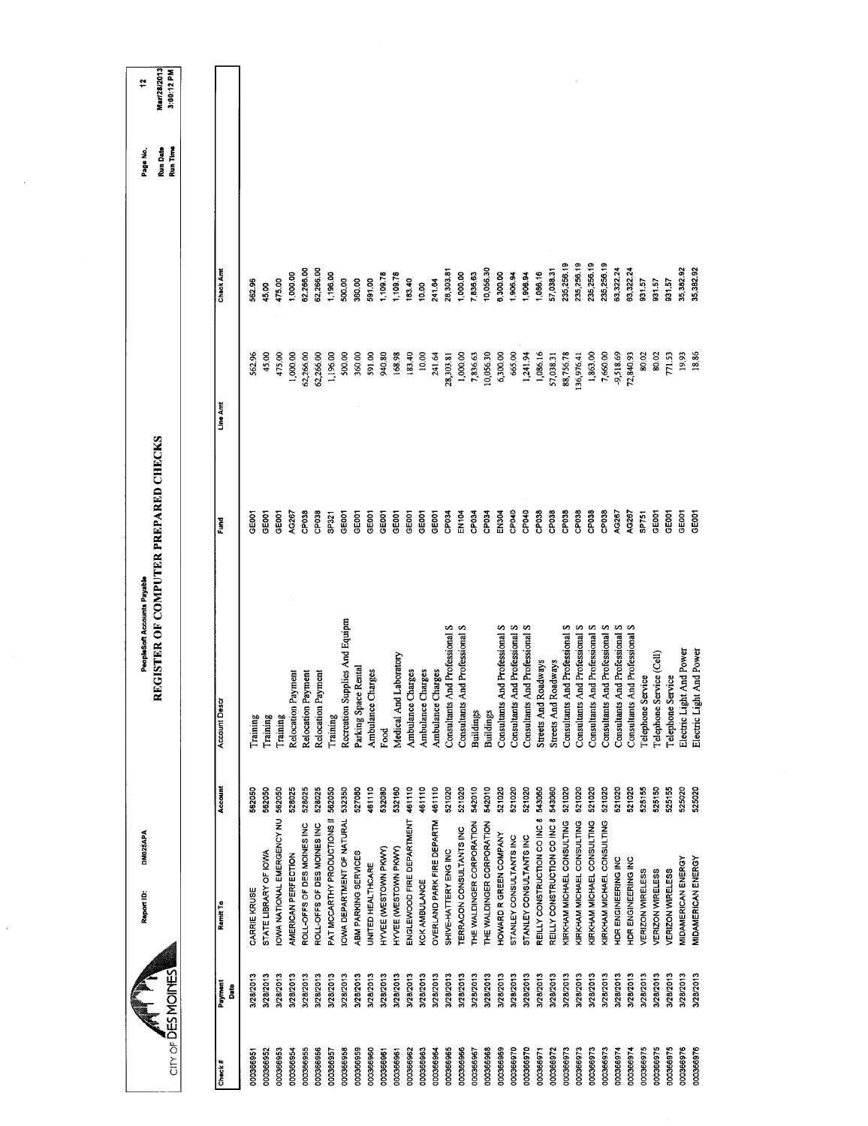| PeopleSoft Accounts Payable<br>Recreation Supplies And Equipm<br>And Professional S<br>And Professional S<br>And Professional S<br>And Professional S<br>And Professional S<br>Consultants And Professional S<br>And Professional S<br>And Professional S<br>Medical And Laboratory<br>Roadways<br>Roadways<br>Parking Space Rental<br>Ambulance Charges<br>Ambulance Charges<br>Ambulance Charges<br>Ambulance Charges<br>Relocation Payment<br>Relocation Payment<br>Relocation Payment<br><b>Account Descr</b><br>Consultants<br>Consultants<br>Consultants<br>Consultants<br>Streets And<br>Consultants<br>Consultants<br>Streets And<br><b>Buildings</b><br><b>Buildings</b><br>Training<br>Training<br>Training<br>Training<br>Food<br>Account<br>521020<br>528025<br>528025<br>528025<br>562050<br>527080<br>461110<br>532080<br>461110<br>461110<br>461110<br>521020<br>521020<br>542010<br>542010<br>521020<br>521020<br>543060<br>543060<br>521020<br>521020<br>562050<br>562050<br>562050<br>532350<br>532160<br>521020<br><b>IOWA NATIONAL EMERGENCY NU</b><br>PAT MCCARTHY PRODUCTIONS II<br>REILLY CONSTRUCTION CO INC 8<br>REILLY CONSTRUCTION CO INC 8<br>IOWA DEPARTMENT OF NATURAL<br>ENGLEWOOD FIRE DEPARTMENT<br>OVERLAND PARK FIRE DEPARTM<br>KIRKHAM MICHAEL CONSULTING<br>KIRKHAM MICHAEL CONSULTING<br>KIRKHAM MICHAEL CONSULTING<br>THE WALDINGER CORPORATION<br>THE WALDINGER CORPORATION<br>ROLL-OFFS OF DES MOINES INC<br>ROLL-OFFS OF DES MOINES INC<br>TERRACON CONSULTANTS INC<br>DM025APA<br>HOWARD R GREEN COMPANY<br>STANLEY CONSULTANTS INC<br>STANLEY CONSULTANTS INC<br>HYVEE (WESTOWN PKWY)<br>HYVEE (WESTOWN PKWY)<br>SHIVE-HATTERY ENG INC<br>STATE LIBRARY OF IOWA<br>ABM PARKING SERVICES<br>AMERICAN PERFECTION<br>UNITED HEALTHCARE<br><b>KCK AMBULANCE</b><br>CARRIE KRUSE<br>Report ID:<br>Remit To | 45.00<br>475.00<br>62,266.00<br>1,196.00<br>360.00<br>591.00<br>940,80<br>1,000.00<br>62,266.00<br>500,00<br>168,98<br>562.96<br>Line Amt<br>REGISTER OF COMPUTER PREPARED CHECKS<br>CP038<br>GE001<br>GE001<br>AG267<br>CP038<br>SP321<br>GEOOT<br>GE001<br><b>GE001</b><br>GEOOT<br>GEOOT<br>GEODT<br>Fund | 62,266.00<br>62,266.00<br>Check Amt<br>1,000.00<br>1,196.00<br>1,109.78<br>360.00<br>591.00<br>475.00<br>500.00<br>562.96<br>45.00 | Mar/28/2013<br>3:00:12 PM<br>ż,<br>Run Time<br>Run Date<br>Page No. |
|---------------------------------------------------------------------------------------------------------------------------------------------------------------------------------------------------------------------------------------------------------------------------------------------------------------------------------------------------------------------------------------------------------------------------------------------------------------------------------------------------------------------------------------------------------------------------------------------------------------------------------------------------------------------------------------------------------------------------------------------------------------------------------------------------------------------------------------------------------------------------------------------------------------------------------------------------------------------------------------------------------------------------------------------------------------------------------------------------------------------------------------------------------------------------------------------------------------------------------------------------------------------------------------------------------------------------------------------------------------------------------------------------------------------------------------------------------------------------------------------------------------------------------------------------------------------------------------------------------------------------------------------------------------------------------------------------------------------------------------------------------------------------------------------------------------------------------------------------|--------------------------------------------------------------------------------------------------------------------------------------------------------------------------------------------------------------------------------------------------------------------------------------------------------------|------------------------------------------------------------------------------------------------------------------------------------|---------------------------------------------------------------------|
|                                                                                                                                                                                                                                                                                                                                                                                                                                                                                                                                                                                                                                                                                                                                                                                                                                                                                                                                                                                                                                                                                                                                                                                                                                                                                                                                                                                                                                                                                                                                                                                                                                                                                                                                                                                                                                                   |                                                                                                                                                                                                                                                                                                              |                                                                                                                                    |                                                                     |
|                                                                                                                                                                                                                                                                                                                                                                                                                                                                                                                                                                                                                                                                                                                                                                                                                                                                                                                                                                                                                                                                                                                                                                                                                                                                                                                                                                                                                                                                                                                                                                                                                                                                                                                                                                                                                                                   |                                                                                                                                                                                                                                                                                                              |                                                                                                                                    |                                                                     |
|                                                                                                                                                                                                                                                                                                                                                                                                                                                                                                                                                                                                                                                                                                                                                                                                                                                                                                                                                                                                                                                                                                                                                                                                                                                                                                                                                                                                                                                                                                                                                                                                                                                                                                                                                                                                                                                   |                                                                                                                                                                                                                                                                                                              |                                                                                                                                    |                                                                     |
|                                                                                                                                                                                                                                                                                                                                                                                                                                                                                                                                                                                                                                                                                                                                                                                                                                                                                                                                                                                                                                                                                                                                                                                                                                                                                                                                                                                                                                                                                                                                                                                                                                                                                                                                                                                                                                                   |                                                                                                                                                                                                                                                                                                              |                                                                                                                                    |                                                                     |
|                                                                                                                                                                                                                                                                                                                                                                                                                                                                                                                                                                                                                                                                                                                                                                                                                                                                                                                                                                                                                                                                                                                                                                                                                                                                                                                                                                                                                                                                                                                                                                                                                                                                                                                                                                                                                                                   |                                                                                                                                                                                                                                                                                                              |                                                                                                                                    |                                                                     |
|                                                                                                                                                                                                                                                                                                                                                                                                                                                                                                                                                                                                                                                                                                                                                                                                                                                                                                                                                                                                                                                                                                                                                                                                                                                                                                                                                                                                                                                                                                                                                                                                                                                                                                                                                                                                                                                   |                                                                                                                                                                                                                                                                                                              |                                                                                                                                    |                                                                     |
|                                                                                                                                                                                                                                                                                                                                                                                                                                                                                                                                                                                                                                                                                                                                                                                                                                                                                                                                                                                                                                                                                                                                                                                                                                                                                                                                                                                                                                                                                                                                                                                                                                                                                                                                                                                                                                                   |                                                                                                                                                                                                                                                                                                              |                                                                                                                                    |                                                                     |
|                                                                                                                                                                                                                                                                                                                                                                                                                                                                                                                                                                                                                                                                                                                                                                                                                                                                                                                                                                                                                                                                                                                                                                                                                                                                                                                                                                                                                                                                                                                                                                                                                                                                                                                                                                                                                                                   |                                                                                                                                                                                                                                                                                                              |                                                                                                                                    |                                                                     |
|                                                                                                                                                                                                                                                                                                                                                                                                                                                                                                                                                                                                                                                                                                                                                                                                                                                                                                                                                                                                                                                                                                                                                                                                                                                                                                                                                                                                                                                                                                                                                                                                                                                                                                                                                                                                                                                   |                                                                                                                                                                                                                                                                                                              |                                                                                                                                    |                                                                     |
|                                                                                                                                                                                                                                                                                                                                                                                                                                                                                                                                                                                                                                                                                                                                                                                                                                                                                                                                                                                                                                                                                                                                                                                                                                                                                                                                                                                                                                                                                                                                                                                                                                                                                                                                                                                                                                                   |                                                                                                                                                                                                                                                                                                              |                                                                                                                                    |                                                                     |
|                                                                                                                                                                                                                                                                                                                                                                                                                                                                                                                                                                                                                                                                                                                                                                                                                                                                                                                                                                                                                                                                                                                                                                                                                                                                                                                                                                                                                                                                                                                                                                                                                                                                                                                                                                                                                                                   |                                                                                                                                                                                                                                                                                                              |                                                                                                                                    |                                                                     |
|                                                                                                                                                                                                                                                                                                                                                                                                                                                                                                                                                                                                                                                                                                                                                                                                                                                                                                                                                                                                                                                                                                                                                                                                                                                                                                                                                                                                                                                                                                                                                                                                                                                                                                                                                                                                                                                   |                                                                                                                                                                                                                                                                                                              |                                                                                                                                    |                                                                     |
|                                                                                                                                                                                                                                                                                                                                                                                                                                                                                                                                                                                                                                                                                                                                                                                                                                                                                                                                                                                                                                                                                                                                                                                                                                                                                                                                                                                                                                                                                                                                                                                                                                                                                                                                                                                                                                                   |                                                                                                                                                                                                                                                                                                              | 1,109.78                                                                                                                           |                                                                     |
|                                                                                                                                                                                                                                                                                                                                                                                                                                                                                                                                                                                                                                                                                                                                                                                                                                                                                                                                                                                                                                                                                                                                                                                                                                                                                                                                                                                                                                                                                                                                                                                                                                                                                                                                                                                                                                                   | 183,40<br>GE001                                                                                                                                                                                                                                                                                              | 183.40                                                                                                                             |                                                                     |
|                                                                                                                                                                                                                                                                                                                                                                                                                                                                                                                                                                                                                                                                                                                                                                                                                                                                                                                                                                                                                                                                                                                                                                                                                                                                                                                                                                                                                                                                                                                                                                                                                                                                                                                                                                                                                                                   | 10,00<br>GE001                                                                                                                                                                                                                                                                                               | 10.00                                                                                                                              |                                                                     |
|                                                                                                                                                                                                                                                                                                                                                                                                                                                                                                                                                                                                                                                                                                                                                                                                                                                                                                                                                                                                                                                                                                                                                                                                                                                                                                                                                                                                                                                                                                                                                                                                                                                                                                                                                                                                                                                   | 241.64<br>GEOOT                                                                                                                                                                                                                                                                                              | 241.64                                                                                                                             |                                                                     |
|                                                                                                                                                                                                                                                                                                                                                                                                                                                                                                                                                                                                                                                                                                                                                                                                                                                                                                                                                                                                                                                                                                                                                                                                                                                                                                                                                                                                                                                                                                                                                                                                                                                                                                                                                                                                                                                   | 28,303.81<br>CP034                                                                                                                                                                                                                                                                                           | 28,303.81                                                                                                                          |                                                                     |
|                                                                                                                                                                                                                                                                                                                                                                                                                                                                                                                                                                                                                                                                                                                                                                                                                                                                                                                                                                                                                                                                                                                                                                                                                                                                                                                                                                                                                                                                                                                                                                                                                                                                                                                                                                                                                                                   | 1,000.00<br>EN104                                                                                                                                                                                                                                                                                            | 1,000.00                                                                                                                           |                                                                     |
|                                                                                                                                                                                                                                                                                                                                                                                                                                                                                                                                                                                                                                                                                                                                                                                                                                                                                                                                                                                                                                                                                                                                                                                                                                                                                                                                                                                                                                                                                                                                                                                                                                                                                                                                                                                                                                                   | 10,056.30<br>7,836.63<br>CP034<br>CP <sub>034</sub>                                                                                                                                                                                                                                                          | 10,056.30<br>7,836.63                                                                                                              |                                                                     |
|                                                                                                                                                                                                                                                                                                                                                                                                                                                                                                                                                                                                                                                                                                                                                                                                                                                                                                                                                                                                                                                                                                                                                                                                                                                                                                                                                                                                                                                                                                                                                                                                                                                                                                                                                                                                                                                   | 6,300.00<br>EN304                                                                                                                                                                                                                                                                                            | 6,300.00                                                                                                                           |                                                                     |
|                                                                                                                                                                                                                                                                                                                                                                                                                                                                                                                                                                                                                                                                                                                                                                                                                                                                                                                                                                                                                                                                                                                                                                                                                                                                                                                                                                                                                                                                                                                                                                                                                                                                                                                                                                                                                                                   | 665.00<br>CP040                                                                                                                                                                                                                                                                                              | 1,906.94                                                                                                                           |                                                                     |
|                                                                                                                                                                                                                                                                                                                                                                                                                                                                                                                                                                                                                                                                                                                                                                                                                                                                                                                                                                                                                                                                                                                                                                                                                                                                                                                                                                                                                                                                                                                                                                                                                                                                                                                                                                                                                                                   | 1,241.94<br>CP040                                                                                                                                                                                                                                                                                            | 1,906.94                                                                                                                           |                                                                     |
|                                                                                                                                                                                                                                                                                                                                                                                                                                                                                                                                                                                                                                                                                                                                                                                                                                                                                                                                                                                                                                                                                                                                                                                                                                                                                                                                                                                                                                                                                                                                                                                                                                                                                                                                                                                                                                                   | 1,086.16<br>CP038                                                                                                                                                                                                                                                                                            | 1,086.16                                                                                                                           |                                                                     |
|                                                                                                                                                                                                                                                                                                                                                                                                                                                                                                                                                                                                                                                                                                                                                                                                                                                                                                                                                                                                                                                                                                                                                                                                                                                                                                                                                                                                                                                                                                                                                                                                                                                                                                                                                                                                                                                   | 57,038.31<br>CP038                                                                                                                                                                                                                                                                                           | 57,038.31                                                                                                                          |                                                                     |
|                                                                                                                                                                                                                                                                                                                                                                                                                                                                                                                                                                                                                                                                                                                                                                                                                                                                                                                                                                                                                                                                                                                                                                                                                                                                                                                                                                                                                                                                                                                                                                                                                                                                                                                                                                                                                                                   | 88,756.78<br>CP <sub>038</sub>                                                                                                                                                                                                                                                                               | 235,256.19                                                                                                                         |                                                                     |
|                                                                                                                                                                                                                                                                                                                                                                                                                                                                                                                                                                                                                                                                                                                                                                                                                                                                                                                                                                                                                                                                                                                                                                                                                                                                                                                                                                                                                                                                                                                                                                                                                                                                                                                                                                                                                                                   | 136,976.41<br>CP038                                                                                                                                                                                                                                                                                          | 235,256.19                                                                                                                         |                                                                     |
| Consultants                                                                                                                                                                                                                                                                                                                                                                                                                                                                                                                                                                                                                                                                                                                                                                                                                                                                                                                                                                                                                                                                                                                                                                                                                                                                                                                                                                                                                                                                                                                                                                                                                                                                                                                                                                                                                                       | 1,863.00<br>CP038                                                                                                                                                                                                                                                                                            | 235,256.19                                                                                                                         |                                                                     |
| Consultants And Professional S<br>521020<br>KIRKHAM MICHAEL CONSULTING                                                                                                                                                                                                                                                                                                                                                                                                                                                                                                                                                                                                                                                                                                                                                                                                                                                                                                                                                                                                                                                                                                                                                                                                                                                                                                                                                                                                                                                                                                                                                                                                                                                                                                                                                                            | 7,660.00<br>CP038                                                                                                                                                                                                                                                                                            | 235,256.19                                                                                                                         |                                                                     |
| Consultants And Professional S<br>521020<br>HDR ENGINEERING INC                                                                                                                                                                                                                                                                                                                                                                                                                                                                                                                                                                                                                                                                                                                                                                                                                                                                                                                                                                                                                                                                                                                                                                                                                                                                                                                                                                                                                                                                                                                                                                                                                                                                                                                                                                                   | -9,518.69<br>AG267                                                                                                                                                                                                                                                                                           | 63,322.24                                                                                                                          |                                                                     |
| Consultants And Professional S<br>521020<br>HDR ENGINEERING INC                                                                                                                                                                                                                                                                                                                                                                                                                                                                                                                                                                                                                                                                                                                                                                                                                                                                                                                                                                                                                                                                                                                                                                                                                                                                                                                                                                                                                                                                                                                                                                                                                                                                                                                                                                                   | 72,840.93<br>AG267                                                                                                                                                                                                                                                                                           | 63,322.24                                                                                                                          |                                                                     |
| Telephone Service<br>525155<br>VERIZON WIRELESS                                                                                                                                                                                                                                                                                                                                                                                                                                                                                                                                                                                                                                                                                                                                                                                                                                                                                                                                                                                                                                                                                                                                                                                                                                                                                                                                                                                                                                                                                                                                                                                                                                                                                                                                                                                                   | 80.02<br><b>SP751</b>                                                                                                                                                                                                                                                                                        | 931.57                                                                                                                             |                                                                     |
| Telephone Service (Cell)<br>525150<br>VERIZON WIRELESS                                                                                                                                                                                                                                                                                                                                                                                                                                                                                                                                                                                                                                                                                                                                                                                                                                                                                                                                                                                                                                                                                                                                                                                                                                                                                                                                                                                                                                                                                                                                                                                                                                                                                                                                                                                            | 80.02<br><b>GEOOT</b>                                                                                                                                                                                                                                                                                        | 93157                                                                                                                              |                                                                     |
| Telephone Service<br>525155<br>VERIZON WIRELESS                                                                                                                                                                                                                                                                                                                                                                                                                                                                                                                                                                                                                                                                                                                                                                                                                                                                                                                                                                                                                                                                                                                                                                                                                                                                                                                                                                                                                                                                                                                                                                                                                                                                                                                                                                                                   | 771.53<br>GE001                                                                                                                                                                                                                                                                                              | 931.57                                                                                                                             |                                                                     |
| Electric Light And Power<br>Electric Light And Power<br>525020<br>525020<br>MIDAMERICAN ENERGY<br>MIDAMERICAN ENERGY                                                                                                                                                                                                                                                                                                                                                                                                                                                                                                                                                                                                                                                                                                                                                                                                                                                                                                                                                                                                                                                                                                                                                                                                                                                                                                                                                                                                                                                                                                                                                                                                                                                                                                                              | 18.86<br>19.93<br>GE001<br>GEOOT                                                                                                                                                                                                                                                                             | 35,382.92<br>35,382.92                                                                                                             |                                                                     |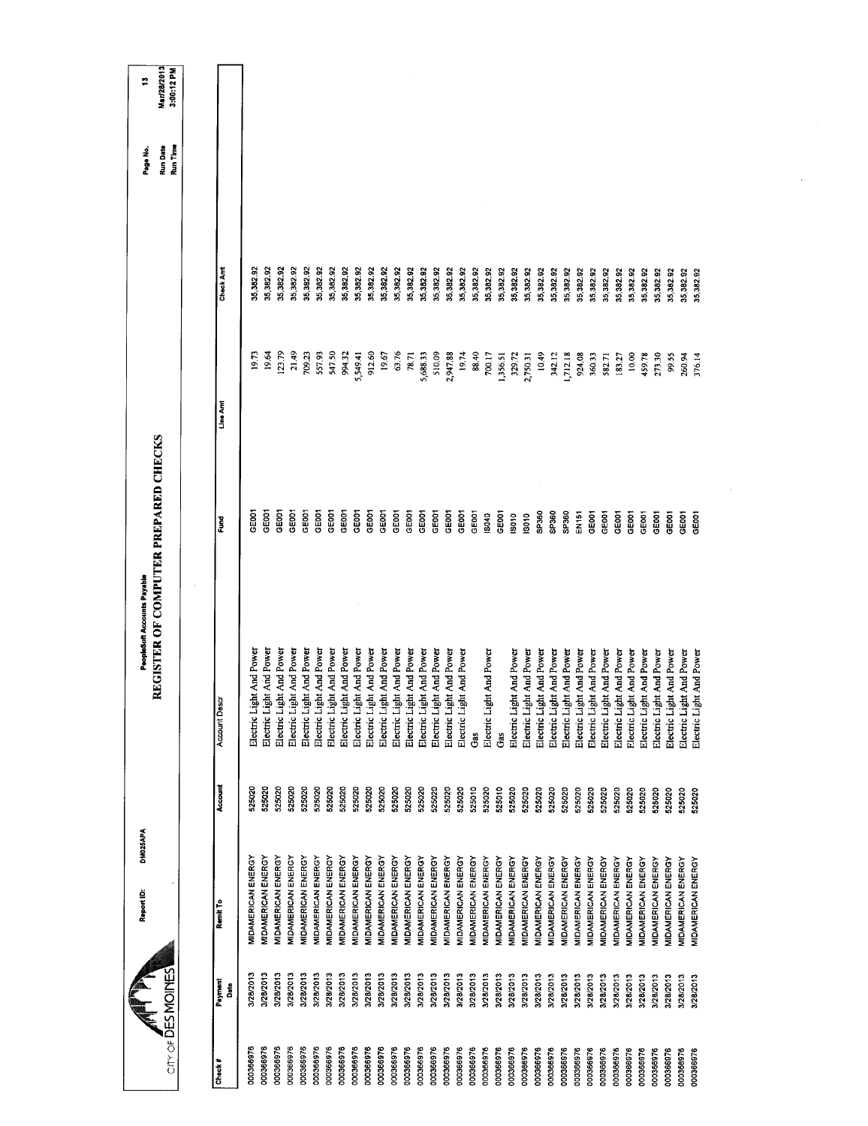|                        |                        | DM025APA<br>Report ID:                                 |                  | REGISTER OF COMPUTER PREPARED CHECKS<br>PeopleSoft Accounts Payable |                   |          |           | <b>Run Date</b><br>Page No. | Mar/28/2013<br>÷ |
|------------------------|------------------------|--------------------------------------------------------|------------------|---------------------------------------------------------------------|-------------------|----------|-----------|-----------------------------|------------------|
| City of DES MOINES     |                        |                                                        |                  |                                                                     |                   |          |           | Run Time                    | 3:00:12 PM       |
| Check #                | Payment<br>Date        | Remit To                                               | Account          | <b>Account Desc</b>                                                 | Fund              | Line Amt | Check Amt |                             |                  |
| 000366976              | 3/28/2013              | MIDAMERICAN ENERGY                                     | 525020           | Electric Light And Power                                            | GE001             | 19.73    | 35,382.92 |                             |                  |
| 000366976              | 3/28/2013              | <b>MIDAMERICAN ENERGY</b>                              | 525020           | Electric Light And Power                                            | GEOOT             | 19.64    | 35,382.92 |                             |                  |
| 000366976              | 3/28/2013              | <b>MIDAMERICAN ENERGY</b>                              | 525020           | Electric Light And Power                                            | GEOOT             | 123.79   | 35,382.92 |                             |                  |
| 000366976              | 3/28/2013              | MIDAMERICAN ENERGY                                     | 525020           | Electric Light And Power                                            | GEDOT             | 21.49    | 35,382.92 |                             |                  |
| 000366976              | 3/28/2013              | <b>MIDAMERICAN ENERGY</b>                              | 525020           | Electric Light And Power                                            | GE001             | 709.23   | 35,382.92 |                             |                  |
| 000366976              | 3/28/2013              | MIDAMERICAN ENERGY                                     | 525020           | Electric Light And Power                                            | <b>GEOOT</b>      | 557.93   | 35,382.92 |                             |                  |
| 000366976              | 3/28/2013              | MIDAMERICAN ENERGY                                     | 525020           | Electric Light And Power                                            | GEOCI             | 547.50   | 35,382.92 |                             |                  |
| 000366976              | 3/28/2013              | <b>MIDAMERICAN ENERGY</b>                              | 525020           | Electric Light And Power                                            | GE <sub>001</sub> | 994.32   | 35,382.92 |                             |                  |
| 000366976              | 3/28/2013              | <b>MIDAMERICAN ENERGY</b>                              | 525020           | Electric Light And Power                                            | GE001             | 5,549.41 | 35,382.92 |                             |                  |
| 000366976              | 3/28/2013              | MIDAMERICAN ENERGY                                     | 525020           | Electric Light And Power                                            | GE001             | 912.60   | 35,382.92 |                             |                  |
| 000366976              | 3/28/2013              | <b>MIDAMERICAN ENERGY</b>                              | 525020           | Electric Light And Power                                            | GEOCT             | 19.67    | 35,382.92 |                             |                  |
| 000366976              | 3/28/2013              | <b>MIDAMERICAN ENERGY</b>                              | 525020           | Electric Light And Power                                            | GEOOT             | 63.76    | 35,382.92 |                             |                  |
| 000366976              | 3/28/2013              | <b>VIDAMERICAN ENERGY</b>                              | 525020           | Electric Light And Power                                            | GEOOT             | 78.71    | 35,382.92 |                             |                  |
| 000366976              | 3/28/2013              | MIDAMERICAN ENERGY                                     | 525020           | Electric Light And Power                                            | <b>GEOOT</b>      | 5,688.33 | 35,382.92 |                             |                  |
| 000366976              | 3/28/2013              | <b>MIDAMERICAN ENERGY</b>                              | 525020           | Electric Light And Power                                            | GE001             | 510.09   | 35,382.92 |                             |                  |
| 000366976              | 3/28/2013              | <b>MIDAMERICAN ENERGY</b>                              | 525020           | Electric Light And Power                                            | GE001             | 2,947.88 | 35,382.92 |                             |                  |
| 000366976              | 3/28/2013              | <b>MIDAMERICAN ENERGY</b>                              | 525020           | Electric Light And Power                                            | <b>GEOOT</b>      | 19.74    | 35,382.92 |                             |                  |
| 000366976              | 3/28/2013              | MIDAMERICAN ENERGY                                     | 525010           | Gas                                                                 | GEOOT             | 88.40    | 35,382.92 |                             |                  |
| 000366976              | 3/28/2013              | MIDAMERICAN ENERGY                                     | 525020           | Electric Light And Power                                            | IS040             | 700.17   | 35,382.92 |                             |                  |
| 000366976              | 3/28/2013              | MIDAMERICAN ENERGY                                     | 525010           | Gas                                                                 | CEOOT             | 1,356.51 | 35,382.92 |                             |                  |
| 000366976              | 3/28/2013              | MIDAMERICAN ENERGY                                     | 525020           | Electric Light And Power                                            | <b>SO10</b>       | 329.72   | 35,382.92 |                             |                  |
| 000366976              | 3/28/2013              | MIDAMERICAN ENERGY                                     | 525020           | Electric Light And Power                                            | 5010              | 2,750.31 | 35,382.92 |                             |                  |
| 000366976              | 3/28/2013              | <b>MIDAMERICAN ENERGY</b>                              | 525020           | Electric Light And Power                                            | SP360             | 10.49    | 35,382.92 |                             |                  |
| 000366976              | 3/28/2013              | MIDAMERICAN ENERGY                                     | 525020           | Electric Light And Power                                            | SP360             | 342.12   | 35,382.92 |                             |                  |
| 000366976<br>000366976 | 3/28/2013<br>3/28/2013 | <b>MIDAMERICAN ENERGY</b><br><b>MIDAMERICAN ENERGY</b> | 525020<br>525020 | Electric Light And Power                                            | SP360             | 1,712.18 | 35,382.92 |                             |                  |
|                        |                        |                                                        |                  | Electric Light And Power                                            | EN151             | 924.08   | 35,382.92 |                             |                  |
| 000366976              | 3/28/2013              | <b>MIDAMERICAN ENERGY</b>                              | 525020           | Electric Light And Power                                            | GE <sub>001</sub> | 360.33   | 35,382.92 |                             |                  |
| 000366976              | 3/28/2013              | <b>MIDAMERICAN ENERGY</b>                              | 525020           | Electric Light And Power                                            | GE <sub>001</sub> | 582.71   | 35,382.92 |                             |                  |
| 000366976              | 3/28/2013              | MIDAMERICAN ENERGY                                     | 525020           | Electric Light And Power                                            | GEOOT             | 183.27   | 35,382.92 |                             |                  |
| 000366976              | 3/28/2013              | MIDAMERICAN ENERGY                                     | 525020           | Electric Light And Power                                            | GEDO <sub>1</sub> | 10.00    | 35,382.92 |                             |                  |
| 000366976              | 3/28/2013              | MIDAMERICAN ENERGY                                     | 525020           | Electric Light And Power                                            | GE <sub>001</sub> | 459.78   | 35,382.92 |                             |                  |
| 000366976              | 3/28/2013              | <b>MIDAMERICAN ENERGY</b>                              | 525020           | Electric Light And Power                                            | GE <sub>001</sub> | 273.30   | 35,382.92 |                             |                  |
| 000366976              | 3/28/2013              | <b>VIDAMERICAN ENERGY</b>                              | 525020           | Electric Light And Power                                            | GEOOT             | 99.55    | 35,382.92 |                             |                  |
| 000366976              | 3/28/2013              | MIDAMERICAN ENERGY                                     | 525020           | Electric Light And Power                                            | GE001             | 260,94   | 35,382.92 |                             |                  |
| 000366976              | 3/28/2013              | MIDAMERICAN ENERGY                                     | 525020           | Electric Light And Power                                            | GE001             | 376.14   | 35,382.92 |                             |                  |
|                        |                        |                                                        |                  |                                                                     |                   |          |           |                             |                  |

 $\ddot{\phantom{0}}$ 

 $\hat{\boldsymbol{\epsilon}}$